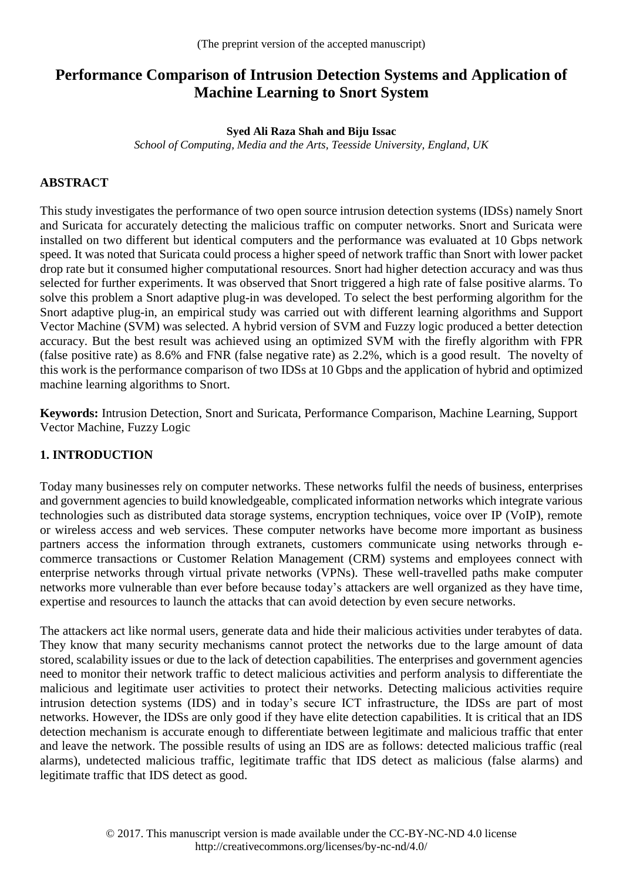# **Performance Comparison of Intrusion Detection Systems and Application of Machine Learning to Snort System**

### **Syed Ali Raza Shah and Biju Issac**

*School of Computing, Media and the Arts, Teesside University, England, UK*

# **ABSTRACT**

This study investigates the performance of two open source intrusion detection systems (IDSs) namely Snort and Suricata for accurately detecting the malicious traffic on computer networks. Snort and Suricata were installed on two different but identical computers and the performance was evaluated at 10 Gbps network speed. It was noted that Suricata could process a higher speed of network traffic than Snort with lower packet drop rate but it consumed higher computational resources. Snort had higher detection accuracy and was thus selected for further experiments. It was observed that Snort triggered a high rate of false positive alarms. To solve this problem a Snort adaptive plug-in was developed. To select the best performing algorithm for the Snort adaptive plug-in, an empirical study was carried out with different learning algorithms and Support Vector Machine (SVM) was selected. A hybrid version of SVM and Fuzzy logic produced a better detection accuracy. But the best result was achieved using an optimized SVM with the firefly algorithm with FPR (false positive rate) as 8.6% and FNR (false negative rate) as 2.2%, which is a good result. The novelty of this work is the performance comparison of two IDSs at 10 Gbps and the application of hybrid and optimized machine learning algorithms to Snort.

**Keywords:** Intrusion Detection, Snort and Suricata, Performance Comparison, Machine Learning, Support Vector Machine, Fuzzy Logic

# **1. INTRODUCTION**

Today many businesses rely on computer networks. These networks fulfil the needs of business, enterprises and government agencies to build knowledgeable, complicated information networks which integrate various technologies such as distributed data storage systems, encryption techniques, voice over IP (VoIP), remote or wireless access and web services. These computer networks have become more important as business partners access the information through extranets, customers communicate using networks through ecommerce transactions or Customer Relation Management (CRM) systems and employees connect with enterprise networks through virtual private networks (VPNs). These well-travelled paths make computer networks more vulnerable than ever before because today's attackers are well organized as they have time, expertise and resources to launch the attacks that can avoid detection by even secure networks.

The attackers act like normal users, generate data and hide their malicious activities under terabytes of data. They know that many security mechanisms cannot protect the networks due to the large amount of data stored, scalability issues or due to the lack of detection capabilities. The enterprises and government agencies need to monitor their network traffic to detect malicious activities and perform analysis to differentiate the malicious and legitimate user activities to protect their networks. Detecting malicious activities require intrusion detection systems (IDS) and in today's secure ICT infrastructure, the IDSs are part of most networks. However, the IDSs are only good if they have elite detection capabilities. It is critical that an IDS detection mechanism is accurate enough to differentiate between legitimate and malicious traffic that enter and leave the network. The possible results of using an IDS are as follows: detected malicious traffic (real alarms), undetected malicious traffic, legitimate traffic that IDS detect as malicious (false alarms) and legitimate traffic that IDS detect as good.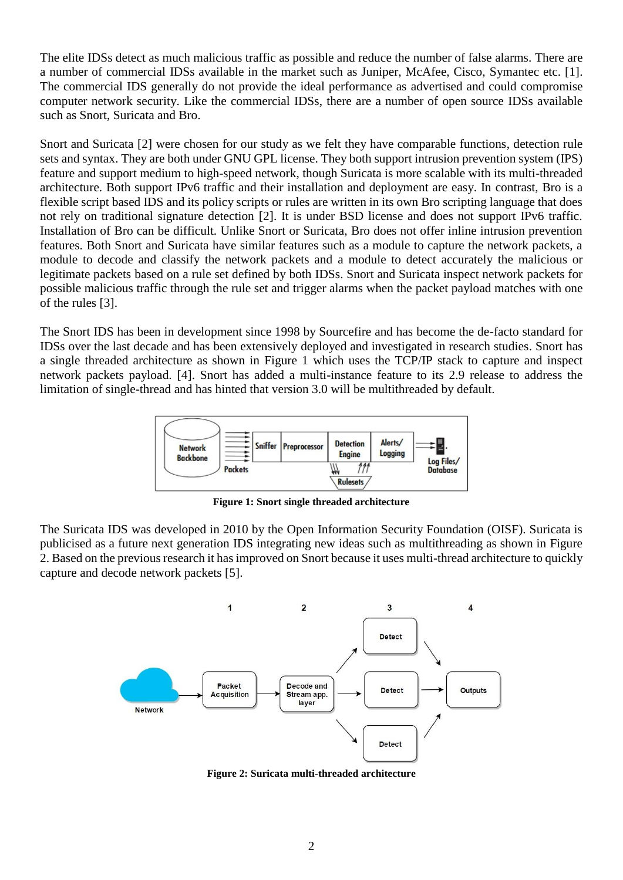The elite IDSs detect as much malicious traffic as possible and reduce the number of false alarms. There are a number of commercial IDSs available in the market such as Juniper, McAfee, Cisco, Symantec etc. [1]. The commercial IDS generally do not provide the ideal performance as advertised and could compromise computer network security. Like the commercial IDSs, there are a number of open source IDSs available such as Snort, Suricata and Bro.

Snort and Suricata [2] were chosen for our study as we felt they have comparable functions, detection rule sets and syntax. They are both under GNU GPL license. They both support intrusion prevention system (IPS) feature and support medium to high-speed network, though Suricata is more scalable with its multi-threaded architecture. Both support IPv6 traffic and their installation and deployment are easy. In contrast, Bro is a flexible script based IDS and its policy scripts or rules are written in its own Bro scripting language that does not rely on traditional signature detection [2]. It is under BSD license and does not support IPv6 traffic. Installation of Bro can be difficult. Unlike Snort or Suricata, Bro does not offer inline intrusion prevention features. Both Snort and Suricata have similar features such as a module to capture the network packets, a module to decode and classify the network packets and a module to detect accurately the malicious or legitimate packets based on a rule set defined by both IDSs. Snort and Suricata inspect network packets for possible malicious traffic through the rule set and trigger alarms when the packet payload matches with one of the rules [3].

The Snort IDS has been in development since 1998 by Sourcefire and has become the de-facto standard for IDSs over the last decade and has been extensively deployed and investigated in research studies. Snort has a single threaded architecture as shown in Figure 1 which uses the TCP/IP stack to capture and inspect network packets payload. [4]. Snort has added a multi-instance feature to its 2.9 release to address the limitation of single-thread and has hinted that version 3.0 will be multithreaded by default.



**Figure 1: Snort single threaded architecture**

The Suricata IDS was developed in 2010 by the Open Information Security Foundation (OISF). Suricata is publicised as a future next generation IDS integrating new ideas such as multithreading as shown in Figure 2. Based on the previous research it has improved on Snort because it uses multi-thread architecture to quickly capture and decode network packets [5].



**Figure 2: Suricata multi-threaded architecture**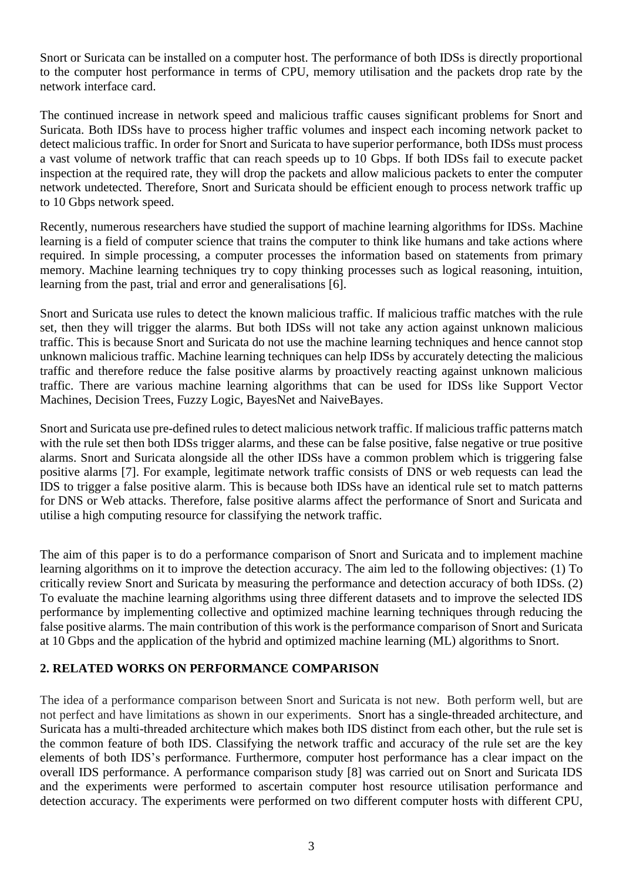Snort or Suricata can be installed on a computer host. The performance of both IDSs is directly proportional to the computer host performance in terms of CPU, memory utilisation and the packets drop rate by the network interface card.

The continued increase in network speed and malicious traffic causes significant problems for Snort and Suricata. Both IDSs have to process higher traffic volumes and inspect each incoming network packet to detect malicious traffic. In order for Snort and Suricata to have superior performance, both IDSs must process a vast volume of network traffic that can reach speeds up to 10 Gbps. If both IDSs fail to execute packet inspection at the required rate, they will drop the packets and allow malicious packets to enter the computer network undetected. Therefore, Snort and Suricata should be efficient enough to process network traffic up to 10 Gbps network speed.

Recently, numerous researchers have studied the support of machine learning algorithms for IDSs. Machine learning is a field of computer science that trains the computer to think like humans and take actions where required. In simple processing, a computer processes the information based on statements from primary memory. Machine learning techniques try to copy thinking processes such as logical reasoning, intuition, learning from the past, trial and error and generalisations [6].

Snort and Suricata use rules to detect the known malicious traffic. If malicious traffic matches with the rule set, then they will trigger the alarms. But both IDSs will not take any action against unknown malicious traffic. This is because Snort and Suricata do not use the machine learning techniques and hence cannot stop unknown malicious traffic. Machine learning techniques can help IDSs by accurately detecting the malicious traffic and therefore reduce the false positive alarms by proactively reacting against unknown malicious traffic. There are various machine learning algorithms that can be used for IDSs like Support Vector Machines, Decision Trees, Fuzzy Logic, BayesNet and NaiveBayes.

Snort and Suricata use pre-defined rules to detect malicious network traffic. If malicious traffic patterns match with the rule set then both IDSs trigger alarms, and these can be false positive, false negative or true positive alarms. Snort and Suricata alongside all the other IDSs have a common problem which is triggering false positive alarms [7]. For example, legitimate network traffic consists of DNS or web requests can lead the IDS to trigger a false positive alarm. This is because both IDSs have an identical rule set to match patterns for DNS or Web attacks. Therefore, false positive alarms affect the performance of Snort and Suricata and utilise a high computing resource for classifying the network traffic.

The aim of this paper is to do a performance comparison of Snort and Suricata and to implement machine learning algorithms on it to improve the detection accuracy. The aim led to the following objectives: (1) To critically review Snort and Suricata by measuring the performance and detection accuracy of both IDSs. (2) To evaluate the machine learning algorithms using three different datasets and to improve the selected IDS performance by implementing collective and optimized machine learning techniques through reducing the false positive alarms. The main contribution of this work is the performance comparison of Snort and Suricata at 10 Gbps and the application of the hybrid and optimized machine learning (ML) algorithms to Snort.

# **2. RELATED WORKS ON PERFORMANCE COMPARISON**

The idea of a performance comparison between Snort and Suricata is not new. Both perform well, but are not perfect and have limitations as shown in our experiments. Snort has a single-threaded architecture, and Suricata has a multi-threaded architecture which makes both IDS distinct from each other, but the rule set is the common feature of both IDS. Classifying the network traffic and accuracy of the rule set are the key elements of both IDS's performance. Furthermore, computer host performance has a clear impact on the overall IDS performance. A performance comparison study [8] was carried out on Snort and Suricata IDS and the experiments were performed to ascertain computer host resource utilisation performance and detection accuracy. The experiments were performed on two different computer hosts with different CPU,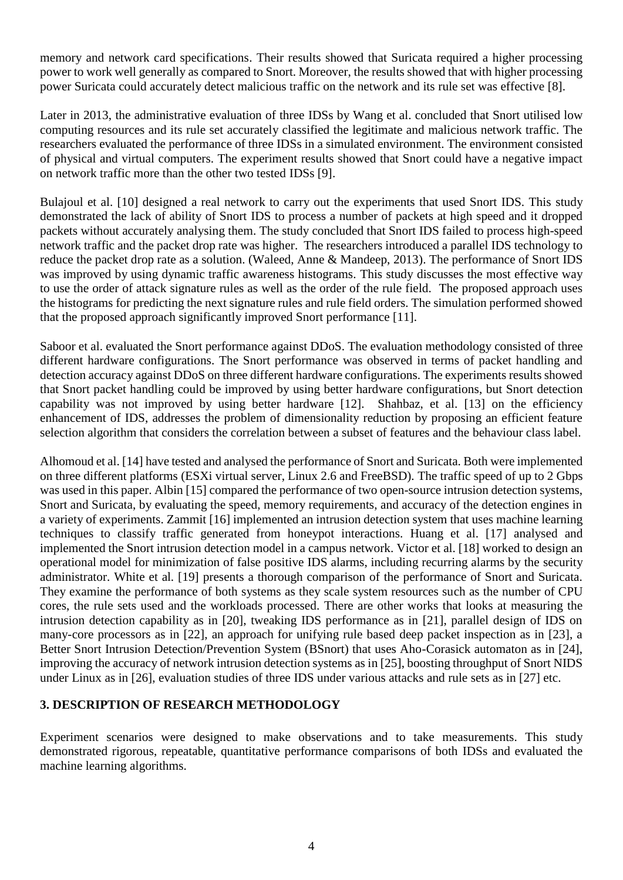memory and network card specifications. Their results showed that Suricata required a higher processing power to work well generally as compared to Snort. Moreover, the results showed that with higher processing power Suricata could accurately detect malicious traffic on the network and its rule set was effective [8].

Later in 2013, the administrative evaluation of three IDSs by Wang et al. concluded that Snort utilised low computing resources and its rule set accurately classified the legitimate and malicious network traffic. The researchers evaluated the performance of three IDSs in a simulated environment. The environment consisted of physical and virtual computers. The experiment results showed that Snort could have a negative impact on network traffic more than the other two tested IDSs [9].

Bulajoul et al. [10] designed a real network to carry out the experiments that used Snort IDS. This study demonstrated the lack of ability of Snort IDS to process a number of packets at high speed and it dropped packets without accurately analysing them. The study concluded that Snort IDS failed to process high-speed network traffic and the packet drop rate was higher. The researchers introduced a parallel IDS technology to reduce the packet drop rate as a solution. (Waleed, Anne & Mandeep, 2013). The performance of Snort IDS was improved by using dynamic traffic awareness histograms. This study discusses the most effective way to use the order of attack signature rules as well as the order of the rule field. The proposed approach uses the histograms for predicting the next signature rules and rule field orders. The simulation performed showed that the proposed approach significantly improved Snort performance [11].

Saboor et al. evaluated the Snort performance against DDoS. The evaluation methodology consisted of three different hardware configurations. The Snort performance was observed in terms of packet handling and detection accuracy against DDoS on three different hardware configurations. The experiments results showed that Snort packet handling could be improved by using better hardware configurations, but Snort detection capability was not improved by using better hardware [12]. Shahbaz, et al. [13] on the efficiency enhancement of IDS, addresses the problem of dimensionality reduction by proposing an efficient feature selection algorithm that considers the correlation between a subset of features and the behaviour class label.

Alhomoud et al. [14] have tested and analysed the performance of Snort and Suricata. Both were implemented on three different platforms (ESXi virtual server, Linux 2.6 and FreeBSD). The traffic speed of up to 2 Gbps was used in this paper. Albin [15] compared the performance of two open-source intrusion detection systems, Snort and Suricata, by evaluating the speed, memory requirements, and accuracy of the detection engines in a variety of experiments. Zammit [16] implemented an intrusion detection system that uses machine learning techniques to classify traffic generated from honeypot interactions. Huang et al. [17] analysed and implemented the Snort intrusion detection model in a campus network. Victor et al. [18] worked to design an operational model for minimization of false positive IDS alarms, including recurring alarms by the security administrator. White et al. [19] presents a thorough comparison of the performance of Snort and Suricata. They examine the performance of both systems as they scale system resources such as the number of CPU cores, the rule sets used and the workloads processed. There are other works that looks at measuring the intrusion detection capability as in [20], tweaking IDS performance as in [21], parallel design of IDS on many-core processors as in [22], an approach for unifying rule based deep packet inspection as in [23], a Better Snort Intrusion Detection/Prevention System (BSnort) that uses Aho-Corasick automaton as in [24], improving the accuracy of network intrusion detection systems as in [25], boosting throughput of Snort NIDS under Linux as in [26], evaluation studies of three IDS under various attacks and rule sets as in [27] etc.

### **3. DESCRIPTION OF RESEARCH METHODOLOGY**

Experiment scenarios were designed to make observations and to take measurements. This study demonstrated rigorous, repeatable, quantitative performance comparisons of both IDSs and evaluated the machine learning algorithms.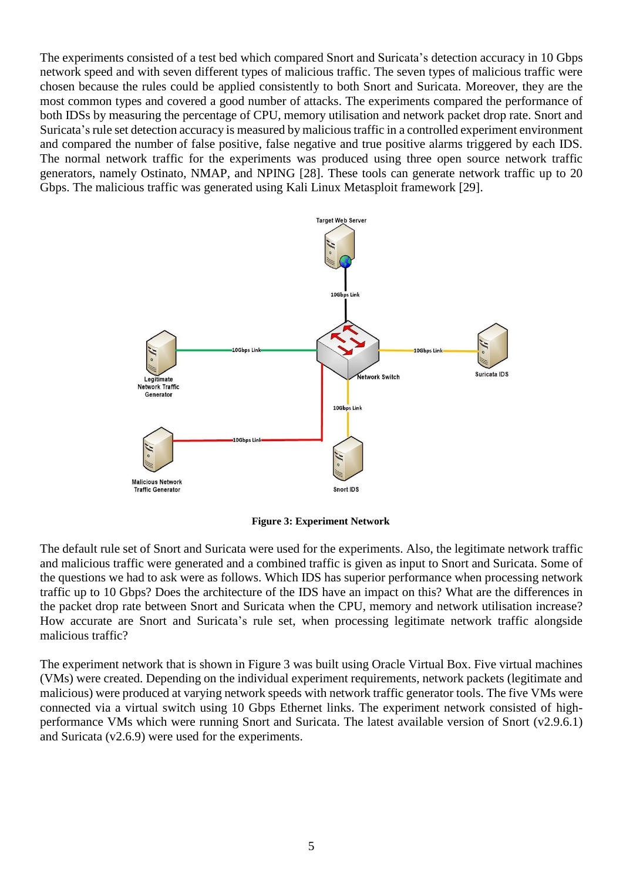The experiments consisted of a test bed which compared Snort and Suricata's detection accuracy in 10 Gbps network speed and with seven different types of malicious traffic. The seven types of malicious traffic were chosen because the rules could be applied consistently to both Snort and Suricata. Moreover, they are the most common types and covered a good number of attacks. The experiments compared the performance of both IDSs by measuring the percentage of CPU, memory utilisation and network packet drop rate. Snort and Suricata's rule set detection accuracy is measured by malicious traffic in a controlled experiment environment and compared the number of false positive, false negative and true positive alarms triggered by each IDS. The normal network traffic for the experiments was produced using three open source network traffic generators, namely Ostinato, NMAP, and NPING [28]. These tools can generate network traffic up to 20 Gbps. The malicious traffic was generated using Kali Linux Metasploit framework [29].



**Figure 3: Experiment Network**

The default rule set of Snort and Suricata were used for the experiments. Also, the legitimate network traffic and malicious traffic were generated and a combined traffic is given as input to Snort and Suricata. Some of the questions we had to ask were as follows. Which IDS has superior performance when processing network traffic up to 10 Gbps? Does the architecture of the IDS have an impact on this? What are the differences in the packet drop rate between Snort and Suricata when the CPU, memory and network utilisation increase? How accurate are Snort and Suricata's rule set, when processing legitimate network traffic alongside malicious traffic?

The experiment network that is shown in Figure 3 was built using Oracle Virtual Box. Five virtual machines (VMs) were created. Depending on the individual experiment requirements, network packets (legitimate and malicious) were produced at varying network speeds with network traffic generator tools. The five VMs were connected via a virtual switch using 10 Gbps Ethernet links. The experiment network consisted of highperformance VMs which were running Snort and Suricata. The latest available version of Snort (v2.9.6.1) and Suricata (v2.6.9) were used for the experiments.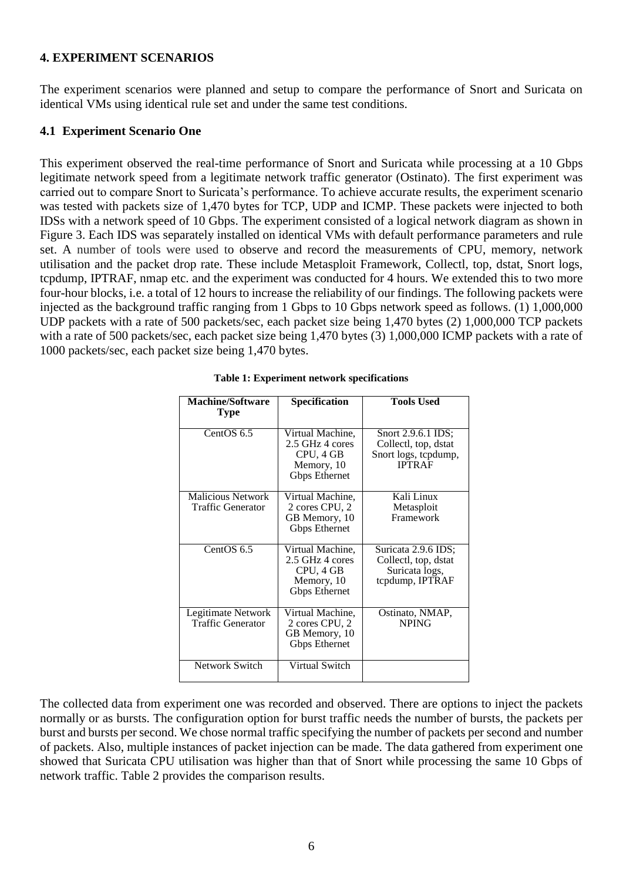### **4. EXPERIMENT SCENARIOS**

The experiment scenarios were planned and setup to compare the performance of Snort and Suricata on identical VMs using identical rule set and under the same test conditions.

### **4.1 Experiment Scenario One**

This experiment observed the real-time performance of Snort and Suricata while processing at a 10 Gbps legitimate network speed from a legitimate network traffic generator (Ostinato). The first experiment was carried out to compare Snort to Suricata's performance. To achieve accurate results, the experiment scenario was tested with packets size of 1,470 bytes for TCP, UDP and ICMP. These packets were injected to both IDSs with a network speed of 10 Gbps. The experiment consisted of a logical network diagram as shown in Figure 3. Each IDS was separately installed on identical VMs with default performance parameters and rule set. A number of tools were used to observe and record the measurements of CPU, memory, network utilisation and the packet drop rate. These include Metasploit Framework, Collectl, top, dstat, Snort logs, tcpdump, IPTRAF, nmap etc. and the experiment was conducted for 4 hours. We extended this to two more four-hour blocks, i.e. a total of 12 hours to increase the reliability of our findings. The following packets were injected as the background traffic ranging from 1 Gbps to 10 Gbps network speed as follows. (1) 1,000,000 UDP packets with a rate of 500 packets/sec, each packet size being 1,470 bytes (2) 1,000,000 TCP packets with a rate of 500 packets/sec, each packet size being 1,470 bytes (3) 1,000,000 ICMP packets with a rate of 1000 packets/sec, each packet size being 1,470 bytes.

| <b>Machine/Software</b><br><b>Type</b>               | Specification                                                                          | <b>Tools Used</b>                                                                   |
|------------------------------------------------------|----------------------------------------------------------------------------------------|-------------------------------------------------------------------------------------|
| CentOS 6.5                                           | Virtual Machine,<br>2.5 GHz 4 cores<br>CPU, 4 GB<br>Memory, 10<br>Gbps Ethernet        | Snort 2.9.6.1 IDS;<br>Collectl, top, dstat<br>Snort logs, tcpdump,<br><b>IPTRAF</b> |
| <b>Malicious Network</b><br><b>Traffic Generator</b> | Virtual Machine,<br>2 cores CPU, 2<br>GB Memory, 10<br>Gbps Ethernet                   | Kali Linux<br>Metasploit<br>Framework                                               |
| Cent $OS$ 6.5                                        | Virtual Machine,<br>2.5 GHz 4 cores<br>CPU, 4 GB<br>Memory, 10<br><b>Gbps Ethernet</b> | Suricata 2.9.6 IDS;<br>Collectl, top, dstat<br>Suricata logs,<br>tcpdump, IPTRAF    |
| Legitimate Network<br><b>Traffic Generator</b>       | Virtual Machine,<br>2 cores CPU, 2<br>GB Memory, 10<br>Gbps Ethernet                   | Ostinato, NMAP,<br><b>NPING</b>                                                     |
| Network Switch                                       | Virtual Switch                                                                         |                                                                                     |

#### **Table 1: Experiment network specifications**

The collected data from experiment one was recorded and observed. There are options to inject the packets normally or as bursts. The configuration option for burst traffic needs the number of bursts, the packets per burst and bursts per second. We chose normal traffic specifying the number of packets per second and number of packets. Also, multiple instances of packet injection can be made. The data gathered from experiment one showed that Suricata CPU utilisation was higher than that of Snort while processing the same 10 Gbps of network traffic. Table 2 provides the comparison results.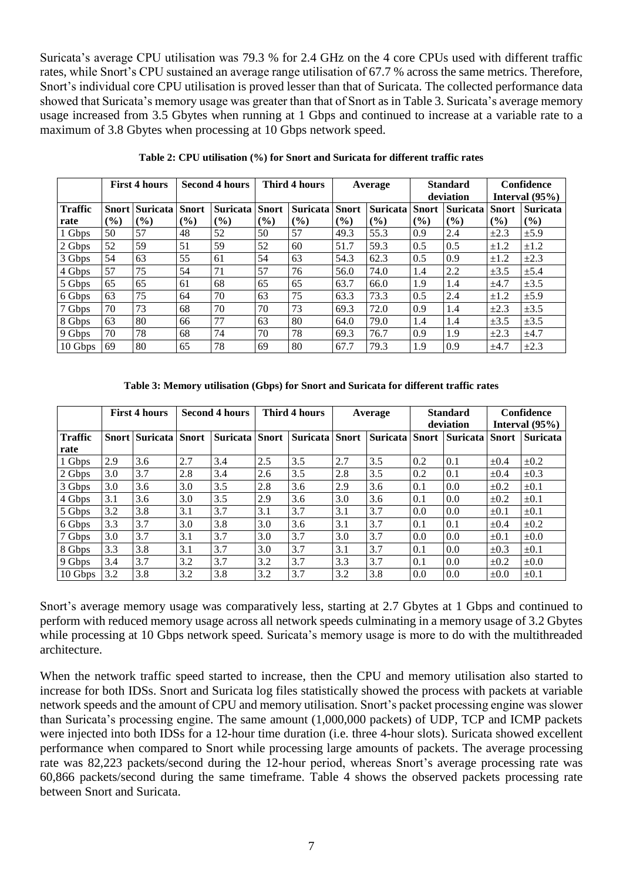Suricata's average CPU utilisation was 79.3 % for 2.4 GHz on the 4 core CPUs used with different traffic rates, while Snort's CPU sustained an average range utilisation of 67.7 % across the same metrics. Therefore, Snort's individual core CPU utilisation is proved lesser than that of Suricata. The collected performance data showed that Suricata's memory usage was greater than that of Snort as in Table 3. Suricata's average memory usage increased from 3.5 Gbytes when running at 1 Gbps and continued to increase at a variable rate to a maximum of 3.8 Gbytes when processing at 10 Gbps network speed.

|                | <b>First 4 hours</b> |                 | <b>Second 4 hours</b> |                 |               | Third 4 hours   |              | Average         |              | <b>Standard</b> |              | Confidence       |  |
|----------------|----------------------|-----------------|-----------------------|-----------------|---------------|-----------------|--------------|-----------------|--------------|-----------------|--------------|------------------|--|
|                |                      |                 |                       |                 |               |                 |              |                 |              | deviation       |              | Interval $(95%)$ |  |
| <b>Traffic</b> | <b>Snort</b>         | <b>Suricata</b> | <b>Snort</b>          | <b>Suricata</b> | <b>Snort</b>  | <b>Suricata</b> | <b>Snort</b> | <b>Suricata</b> | <b>Snort</b> | <b>Suricata</b> | <b>Snort</b> | <b>Suricata</b>  |  |
| rate           | (%)                  | (%)             | (%)                   | $(\%)$          | $\frac{6}{2}$ | $($ %)          | (%)          | $(\%)$          | (%)          | (%)             | (%)          | $($ %)           |  |
| 1 Gbps         | 50                   | 57              | 48                    | 52              | 50            | 57              | 49.3         | 55.3            | 0.9          | 2.4             | $\pm 2.3$    | ±5.9             |  |
| 2 Gbps         | 52                   | 59              | 51                    | 59              | 52            | 60              | 51.7         | 59.3            | 0.5          | 0.5             | $\pm 1.2$    | $\pm 1.2$        |  |
| 3 Gbps         | 54                   | 63              | 55                    | 61              | 54            | 63              | 54.3         | 62.3            | 0.5          | 0.9             | $\pm 1.2$    | $\pm 2.3$        |  |
| 4 Gbps         | 57                   | 75              | 54                    | 71              | 57            | 76              | 56.0         | 74.0            | 1.4          | 2.2             | $\pm 3.5$    | $\pm$ 5.4        |  |
| 5 Gbps         | 65                   | 65              | 61                    | 68              | 65            | 65              | 63.7         | 66.0            | 1.9          | 1.4             | $\pm 4.7$    | $\pm 3.5$        |  |
| 6 Gbps         | 63                   | 75              | 64                    | 70              | 63            | 75              | 63.3         | 73.3            | 0.5          | 2.4             | $\pm 1.2$    | ±5.9             |  |
| 7 Gbps         | 70                   | 73              | 68                    | 70              | 70            | 73              | 69.3         | 72.0            | 0.9          | 1.4             | $\pm 2.3$    | $\pm 3.5$        |  |
| 8 Gbps         | 63                   | 80              | 66                    | 77              | 63            | 80              | 64.0         | 79.0            | 1.4          | 1.4             | $\pm 3.5$    | $\pm 3.5$        |  |
| 9 Gbps         | 70                   | 78              | 68                    | 74              | 70            | 78              | 69.3         | 76.7            | 0.9          | 1.9             | $\pm 2.3$    | $\pm 4.7$        |  |
| 10 Gbps        | 69                   | 80              | 65                    | 78              | 69            | 80              | 67.7         | 79.3            | 1.9          | 0.9             | $\pm 4.7$    | $\pm 2.3$        |  |

**Table 2: CPU utilisation (%) for Snort and Suricata for different traffic rates**

|                | <b>First 4 hours</b> |                                 | <b>Second 4 hours</b> |     | Third 4 hours |                               | Average |                | <b>Standard</b> |                 | Confidence       |                 |
|----------------|----------------------|---------------------------------|-----------------------|-----|---------------|-------------------------------|---------|----------------|-----------------|-----------------|------------------|-----------------|
|                |                      |                                 |                       |     |               |                               |         |                |                 | deviation       | Interval $(95%)$ |                 |
| <b>Traffic</b> |                      | <b>Snort   Suricata   Snort</b> |                       |     |               | Suricata Snort Suricata Snort |         | Suricata Snort |                 | <b>Suricata</b> | <b>Snort</b>     | <b>Suricata</b> |
| rate           |                      |                                 |                       |     |               |                               |         |                |                 |                 |                  |                 |
| 1 Gbps         | 2.9                  | 3.6                             | 2.7                   | 3.4 | 2.5           | 3.5                           | 2.7     | 3.5            | 0.2             | 0.1             | $\pm 0.4$        | $\pm 0.2$       |
| 2 Gbps         | 3.0                  | 3.7                             | 2.8                   | 3.4 | 2.6           | 3.5                           | 2.8     | 3.5            | 0.2             | 0.1             | $\pm 0.4$        | $\pm 0.3$       |
| 3 Gbps         | 3.0                  | 3.6                             | 3.0                   | 3.5 | 2.8           | 3.6                           | 2.9     | 3.6            | 0.1             | 0.0             | $\pm 0.2$        | $\pm 0.1$       |
| 4 Gbps         | 3.1                  | 3.6                             | 3.0                   | 3.5 | 2.9           | 3.6                           | 3.0     | 3.6            | 0.1             | 0.0             | $\pm 0.2$        | $\pm 0.1$       |
| 5 Gbps         | 3.2                  | 3.8                             | 3.1                   | 3.7 | 3.1           | 3.7                           | 3.1     | 3.7            | 0.0             | 0.0             | $\pm 0.1$        | $\pm 0.1$       |
| 6 Gbps         | 3.3                  | 3.7                             | 3.0                   | 3.8 | 3.0           | 3.6                           | 3.1     | 3.7            | 0.1             | 0.1             | $\pm 0.4$        | $\pm 0.2$       |
| 7 Gbps         | 3.0                  | 3.7                             | 3.1                   | 3.7 | 3.0           | 3.7                           | 3.0     | 3.7            | 0.0             | 0.0             | $\pm 0.1$        | $\pm 0.0$       |
| 8 Gbps         | 3.3                  | 3.8                             | 3.1                   | 3.7 | 3.0           | 3.7                           | 3.1     | 3.7            | 0.1             | 0.0             | $\pm 0.3$        | $\pm 0.1$       |
| 9 Gbps         | 3.4                  | 3.7                             | 3.2                   | 3.7 | 3.2           | 3.7                           | 3.3     | 3.7            | 0.1             | 0.0             | $\pm 0.2$        | $\pm 0.0$       |
| 10 Gbps        | 3.2                  | 3.8                             | 3.2                   | 3.8 | 3.2           | 3.7                           | 3.2     | 3.8            | 0.0             | 0.0             | $\pm 0.0$        | $\pm 0.1$       |

**Table 3: Memory utilisation (Gbps) for Snort and Suricata for different traffic rates**

Snort's average memory usage was comparatively less, starting at 2.7 Gbytes at 1 Gbps and continued to perform with reduced memory usage across all network speeds culminating in a memory usage of 3.2 Gbytes while processing at 10 Gbps network speed. Suricata's memory usage is more to do with the multithreaded architecture.

When the network traffic speed started to increase, then the CPU and memory utilisation also started to increase for both IDSs. Snort and Suricata log files statistically showed the process with packets at variable network speeds and the amount of CPU and memory utilisation. Snort's packet processing engine was slower than Suricata's processing engine. The same amount (1,000,000 packets) of UDP, TCP and ICMP packets were injected into both IDSs for a 12-hour time duration (i.e. three 4-hour slots). Suricata showed excellent performance when compared to Snort while processing large amounts of packets. The average processing rate was 82,223 packets/second during the 12-hour period, whereas Snort's average processing rate was 60,866 packets/second during the same timeframe. Table 4 shows the observed packets processing rate between Snort and Suricata.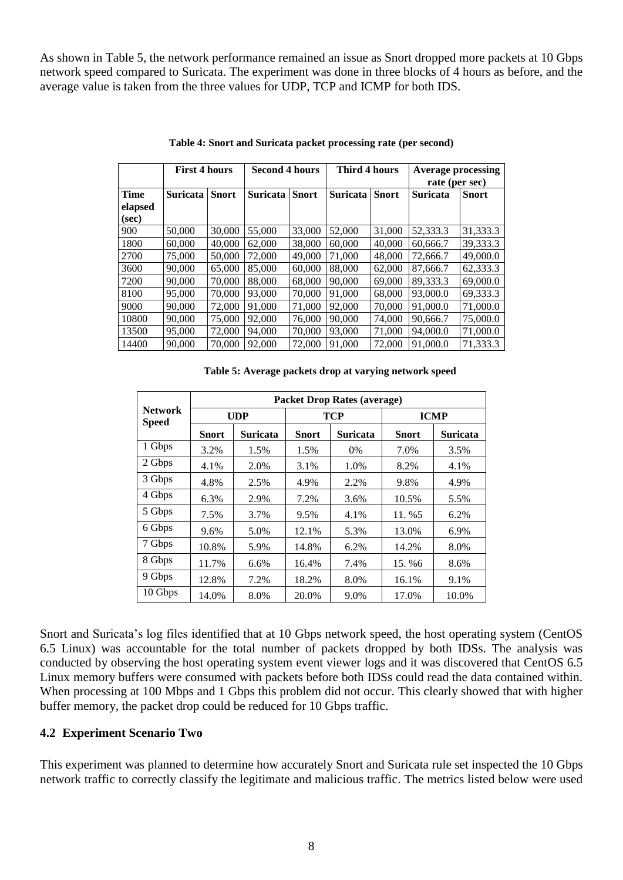As shown in Table 5, the network performance remained an issue as Snort dropped more packets at 10 Gbps network speed compared to Suricata. The experiment was done in three blocks of 4 hours as before, and the average value is taken from the three values for UDP, TCP and ICMP for both IDS.

|             | <b>First 4 hours</b>            |        | <b>Second 4 hours</b>           |        | Third 4 hours                   |        | <b>Average processing</b><br>rate (per sec) |              |  |
|-------------|---------------------------------|--------|---------------------------------|--------|---------------------------------|--------|---------------------------------------------|--------------|--|
| <b>Time</b> | <b>Suricata</b><br><b>Snort</b> |        | <b>Suricata</b><br><b>Snort</b> |        | <b>Suricata</b><br><b>Snort</b> |        | <b>Suricata</b>                             | <b>Snort</b> |  |
| elapsed     |                                 |        |                                 |        |                                 |        |                                             |              |  |
| (sec)       |                                 |        |                                 |        |                                 |        |                                             |              |  |
| 900         | 50,000                          | 30,000 | 55,000                          | 33,000 | 52,000                          | 31,000 | 52.333.3                                    | 31.333.3     |  |
| 1800        | 60,000                          | 40,000 | 62,000                          | 38,000 | 60,000                          | 40,000 | 60,666.7                                    | 39,333.3     |  |
| 2700        | 75,000                          | 50,000 | 72,000                          | 49,000 | 71,000                          | 48,000 | 72,666.7                                    | 49,000.0     |  |
| 3600        | 90,000                          | 65,000 | 85,000                          | 60,000 | 88,000                          | 62,000 | 87.666.7                                    | 62,333.3     |  |
| 7200        | 90,000                          | 70,000 | 88,000                          | 68,000 | 90,000                          | 69,000 | 89.333.3                                    | 69,000.0     |  |
| 8100        | 95,000                          | 70,000 | 93,000                          | 70,000 | 91,000                          | 68,000 | 93,000.0                                    | 69.333.3     |  |
| 9000        | 90,000                          | 72,000 | 91,000                          | 71,000 | 92,000                          | 70,000 | 91,000.0                                    | 71,000.0     |  |
| 10800       | 90,000                          | 75,000 | 92,000                          | 76,000 | 90,000                          | 74,000 | 90,666.7                                    | 75,000.0     |  |
| 13500       | 95,000                          | 72,000 | 94,000                          | 70,000 | 93,000                          | 71,000 | 94,000.0                                    | 71,000.0     |  |
| 14400       | 90.000                          | 70,000 | 92,000                          | 72,000 | 91,000                          | 72,000 | 91,000.0                                    | 71,333.3     |  |

**Table 4: Snort and Suricata packet processing rate (per second)**

| Table 5: Average packets drop at varying network speed |
|--------------------------------------------------------|
|                                                        |

|                                |              | <b>Packet Drop Rates (average)</b> |              |            |              |                 |  |  |  |  |  |  |  |
|--------------------------------|--------------|------------------------------------|--------------|------------|--------------|-----------------|--|--|--|--|--|--|--|
| <b>Network</b><br><b>Speed</b> |              | <b>UDP</b>                         |              | <b>TCP</b> | <b>ICMP</b>  |                 |  |  |  |  |  |  |  |
|                                | <b>Snort</b> | <b>Suricata</b>                    | <b>Snort</b> | Suricata   | <b>Snort</b> | <b>Suricata</b> |  |  |  |  |  |  |  |
| 1 Gbps                         | 3.2%         | 1.5%                               | 1.5%         | $0\%$      | 7.0%         | 3.5%            |  |  |  |  |  |  |  |
| 2 Gbps                         | 4.1%         | 2.0%                               | 3.1%         | 1.0%       | 8.2%         | 4.1%            |  |  |  |  |  |  |  |
| 3 Gbps                         | 4.8%         | 2.5%                               | 4.9%         | 2.2%       | 9.8%         | 4.9%            |  |  |  |  |  |  |  |
| 4 Gbps                         | 6.3%         | 2.9%                               | 7.2%         | 3.6%       | 10.5%        | 5.5%            |  |  |  |  |  |  |  |
| 5 Gbps                         | 7.5%         | 3.7%                               | 9.5%         | 4.1%       | 11. %5       | 6.2%            |  |  |  |  |  |  |  |
| 6 Gbps                         | 9.6%         | 5.0%                               | 12.1%        | 5.3%       | 13.0%        | 6.9%            |  |  |  |  |  |  |  |
| 7 Gbps                         | 10.8%        | 5.9%                               | 14.8%        | 6.2%       | 14.2%        | 8.0%            |  |  |  |  |  |  |  |
| 8 Gbps                         | 11.7%        | 6.6%                               | 16.4%        | 7.4%       | 15. %6       | 8.6%            |  |  |  |  |  |  |  |
| 9 Gbps                         | 12.8%        | 7.2%                               | 18.2%        | 8.0%       | 16.1%        | 9.1%            |  |  |  |  |  |  |  |
| 10 Gbps                        | 14.0%        | 8.0%                               |              | 9.0%       | 17.0%        | 10.0%           |  |  |  |  |  |  |  |

Snort and Suricata's log files identified that at 10 Gbps network speed, the host operating system (CentOS 6.5 Linux) was accountable for the total number of packets dropped by both IDSs. The analysis was conducted by observing the host operating system event viewer logs and it was discovered that CentOS 6.5 Linux memory buffers were consumed with packets before both IDSs could read the data contained within. When processing at 100 Mbps and 1 Gbps this problem did not occur. This clearly showed that with higher buffer memory, the packet drop could be reduced for 10 Gbps traffic.

#### **4.2 Experiment Scenario Two**

This experiment was planned to determine how accurately Snort and Suricata rule set inspected the 10 Gbps network traffic to correctly classify the legitimate and malicious traffic. The metrics listed below were used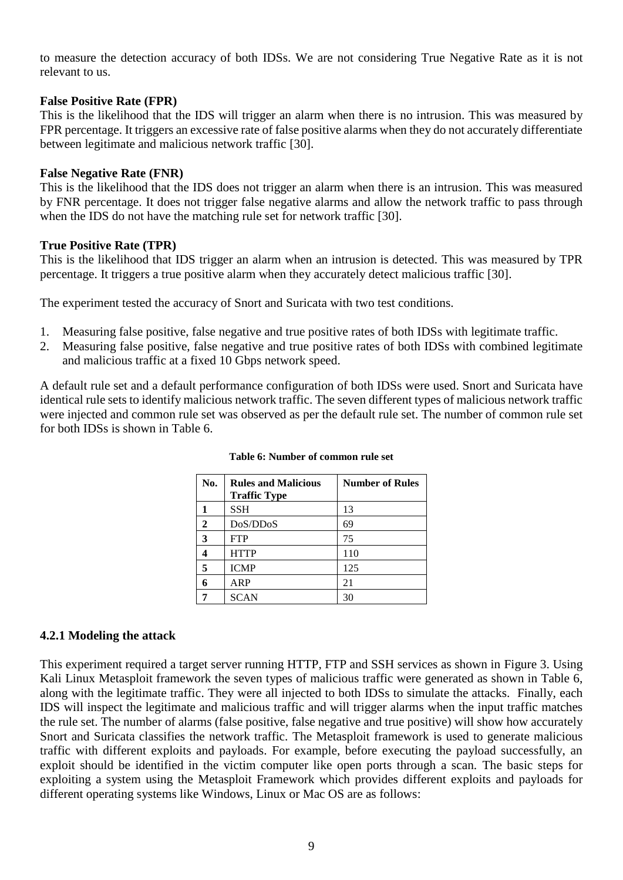to measure the detection accuracy of both IDSs. We are not considering True Negative Rate as it is not relevant to us.

### **False Positive Rate (FPR)**

This is the likelihood that the IDS will trigger an alarm when there is no intrusion. This was measured by FPR percentage. It triggers an excessive rate of false positive alarms when they do not accurately differentiate between legitimate and malicious network traffic [30].

### **False Negative Rate (FNR)**

This is the likelihood that the IDS does not trigger an alarm when there is an intrusion. This was measured by FNR percentage. It does not trigger false negative alarms and allow the network traffic to pass through when the IDS do not have the matching rule set for network traffic [30].

### **True Positive Rate (TPR)**

This is the likelihood that IDS trigger an alarm when an intrusion is detected. This was measured by TPR percentage. It triggers a true positive alarm when they accurately detect malicious traffic [30].

The experiment tested the accuracy of Snort and Suricata with two test conditions.

- 1. Measuring false positive, false negative and true positive rates of both IDSs with legitimate traffic.
- 2. Measuring false positive, false negative and true positive rates of both IDSs with combined legitimate and malicious traffic at a fixed 10 Gbps network speed.

A default rule set and a default performance configuration of both IDSs were used. Snort and Suricata have identical rule sets to identify malicious network traffic. The seven different types of malicious network traffic were injected and common rule set was observed as per the default rule set. The number of common rule set for both IDSs is shown in Table 6.

| No. | <b>Rules and Malicious</b><br><b>Traffic Type</b> | <b>Number of Rules</b> |
|-----|---------------------------------------------------|------------------------|
|     | <b>SSH</b>                                        | 13                     |
| 2   | DoS/DDoS                                          | 69                     |
| 3   | <b>FTP</b>                                        | 75                     |
|     | <b>HTTP</b>                                       | 110                    |
| 5   | <b>ICMP</b>                                       | 125                    |
| 6   | ARP                                               | 21                     |
|     | SCAN                                              | 30                     |

#### **Table 6: Number of common rule set**

### **4.2.1 Modeling the attack**

This experiment required a target server running HTTP, FTP and SSH services as shown in Figure 3. Using Kali Linux Metasploit framework the seven types of malicious traffic were generated as shown in Table 6, along with the legitimate traffic. They were all injected to both IDSs to simulate the attacks. Finally, each IDS will inspect the legitimate and malicious traffic and will trigger alarms when the input traffic matches the rule set. The number of alarms (false positive, false negative and true positive) will show how accurately Snort and Suricata classifies the network traffic. The Metasploit framework is used to generate malicious traffic with different exploits and payloads. For example, before executing the payload successfully, an exploit should be identified in the victim computer like open ports through a scan. The basic steps for exploiting a system using the Metasploit Framework which provides different exploits and payloads for different operating systems like Windows, Linux or Mac OS are as follows: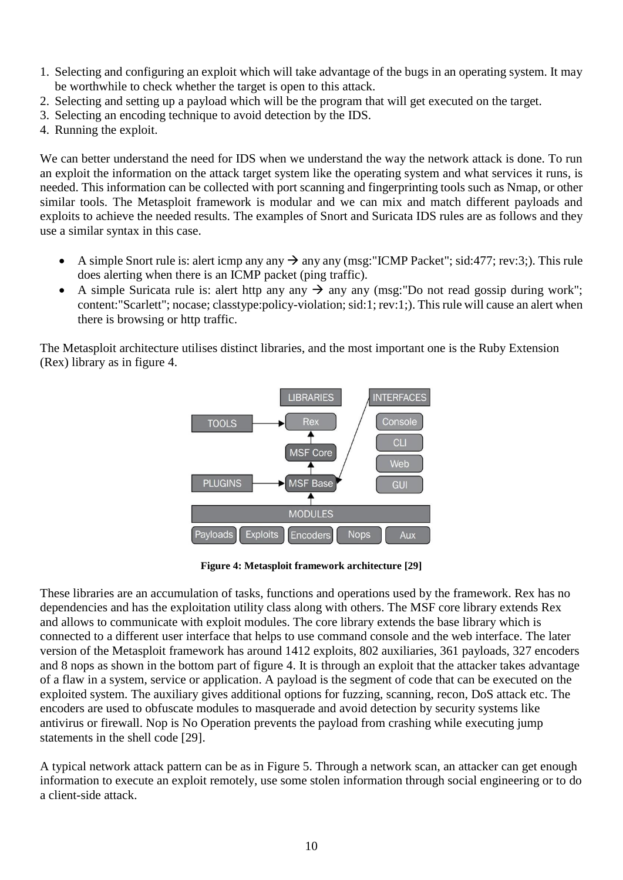- 1. Selecting and configuring an exploit which will take advantage of the bugs in an operating system. It may be worthwhile to check whether the target is open to this attack.
- 2. Selecting and setting up a payload which will be the program that will get executed on the target.
- 3. Selecting an encoding technique to avoid detection by the IDS.
- 4. Running the exploit.

We can better understand the need for IDS when we understand the way the network attack is done. To run an exploit the information on the attack target system like the operating system and what services it runs, is needed. This information can be collected with port scanning and fingerprinting tools such as Nmap, or other similar tools. The Metasploit framework is modular and we can mix and match different payloads and exploits to achieve the needed results. The examples of Snort and Suricata IDS rules are as follows and they use a similar syntax in this case.

- A simple Snort rule is: alert icmp any any  $\rightarrow$  any any (msg: "ICMP Packet"; sid:477; rev:3;). This rule does alerting when there is an ICMP packet (ping traffic).
- A simple Suricata rule is: alert http any any  $\rightarrow$  any any (msg: "Do not read gossip during work"; content:"Scarlett"; nocase; classtype:policy-violation; sid:1; rev:1;). This rule will cause an alert when there is browsing or http traffic.

The Metasploit architecture utilises distinct libraries, and the most important one is the Ruby Extension (Rex) library as in figure 4.



**Figure 4: Metasploit framework architecture [29]**

These libraries are an accumulation of tasks, functions and operations used by the framework. Rex has no dependencies and has the exploitation utility class along with others. The MSF core library extends Rex and allows to communicate with exploit modules. The core library extends the base library which is connected to a different user interface that helps to use command console and the web interface. The later version of the Metasploit framework has around 1412 exploits, 802 auxiliaries, 361 payloads, 327 encoders and 8 nops as shown in the bottom part of figure 4. It is through an exploit that the attacker takes advantage of a flaw in a system, service or application. A payload is the segment of code that can be executed on the exploited system. The auxiliary gives additional options for fuzzing, scanning, recon, DoS attack etc. The encoders are used to obfuscate modules to masquerade and avoid detection by security systems like antivirus or firewall. Nop is No Operation prevents the payload from crashing while executing jump statements in the shell code [29].

A typical network attack pattern can be as in Figure 5. Through a network scan, an attacker can get enough information to execute an exploit remotely, use some stolen information through social engineering or to do a client-side attack.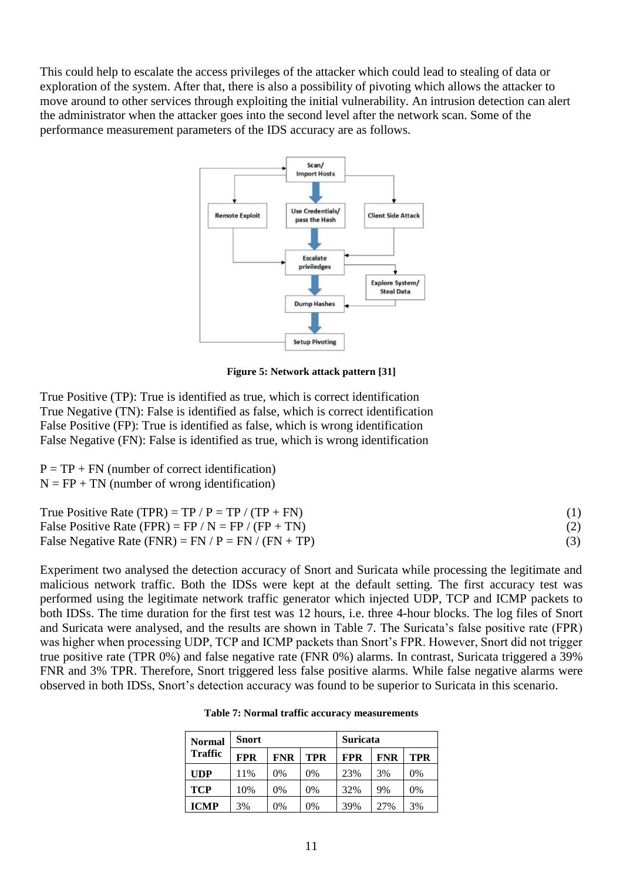This could help to escalate the access privileges of the attacker which could lead to stealing of data or exploration of the system. After that, there is also a possibility of pivoting which allows the attacker to move around to other services through exploiting the initial vulnerability. An intrusion detection can alert the administrator when the attacker goes into the second level after the network scan. Some of the performance measurement parameters of the IDS accuracy are as follows.



**Figure 5: Network attack pattern [31]**

True Positive (TP): True is identified as true, which is correct identification True Negative (TN): False is identified as false, which is correct identification False Positive (FP): True is identified as false, which is wrong identification False Negative (FN): False is identified as true, which is wrong identification

 $P = TP + FN$  (number of correct identification)  $N = FP + TN$  (number of wrong identification)

| True Positive Rate (TPR) = TP / $P = TP / (TP + FN)$  |  |
|-------------------------------------------------------|--|
| False Positive Rate (FPR) = FP / $N = FP$ / (FP + TN) |  |
|                                                       |  |

False Negative Rate  $(FNR) = FN / P = FN / (FN + TP)$  (3)

Experiment two analysed the detection accuracy of Snort and Suricata while processing the legitimate and malicious network traffic. Both the IDSs were kept at the default setting. The first accuracy test was performed using the legitimate network traffic generator which injected UDP, TCP and ICMP packets to both IDSs. The time duration for the first test was 12 hours, i.e. three 4-hour blocks. The log files of Snort and Suricata were analysed, and the results are shown in Table 7. The Suricata's false positive rate (FPR) was higher when processing UDP, TCP and ICMP packets than Snort's FPR. However, Snort did not trigger true positive rate (TPR 0%) and false negative rate (FNR 0%) alarms. In contrast, Suricata triggered a 39% FNR and 3% TPR. Therefore, Snort triggered less false positive alarms. While false negative alarms were observed in both IDSs, Snort's detection accuracy was found to be superior to Suricata in this scenario.

|  | Table 7: Normal traffic accuracy measurements |
|--|-----------------------------------------------|
|--|-----------------------------------------------|

| <b>Normal</b>  | Snort      |            |            | <b>Suricata</b> |            |            |  |  |
|----------------|------------|------------|------------|-----------------|------------|------------|--|--|
| <b>Traffic</b> | <b>FPR</b> | <b>FNR</b> | <b>TPR</b> | <b>FPR</b>      | <b>FNR</b> | <b>TPR</b> |  |  |
| <b>UDP</b>     | 11%        | $0\%$      | 0%         | 23%             | 3%         | $0\%$      |  |  |
| <b>TCP</b>     | 10%        | $0\%$      | 0%         | 32%             | 9%         | 0%         |  |  |
| <b>ICMP</b>    | 3%         | $0\%$      | 0%         | 39%             | 27%        | 3%         |  |  |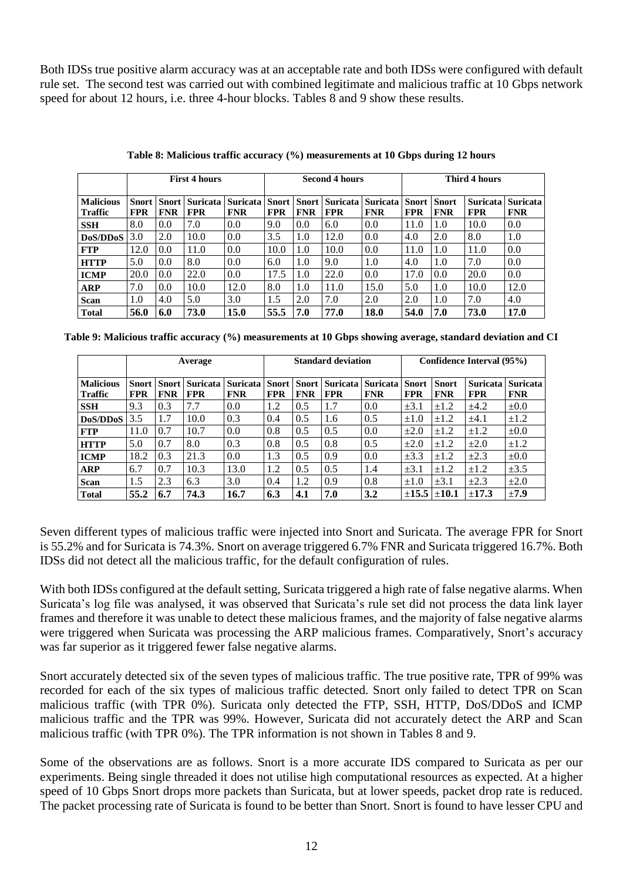Both IDSs true positive alarm accuracy was at an acceptable rate and both IDSs were configured with default rule set. The second test was carried out with combined legitimate and malicious traffic at 10 Gbps network speed for about 12 hours, i.e. three 4-hour blocks. Tables 8 and 9 show these results.

|                                    |                     | <b>First 4 hours</b> |                                     |                               |                       | Second 4 hours        |                               |                               |                       | <b>Third 4 hours</b>       |                               |                               |  |  |
|------------------------------------|---------------------|----------------------|-------------------------------------|-------------------------------|-----------------------|-----------------------|-------------------------------|-------------------------------|-----------------------|----------------------------|-------------------------------|-------------------------------|--|--|
| <b>Malicious</b><br><b>Traffic</b> | Snort<br><b>FPR</b> | <b>FNR</b>           | <b>Snort Suricata</b><br><b>FPR</b> | <b>Suricata</b><br><b>FNR</b> | Snort  <br><b>FPR</b> | Snort  <br><b>FNR</b> | <b>Suricata</b><br><b>FPR</b> | <b>Suricata</b><br><b>FNR</b> | Snort  <br><b>FPR</b> | <b>Snort</b><br><b>FNR</b> | <b>Suricata</b><br><b>FPR</b> | <b>Suricata</b><br><b>FNR</b> |  |  |
| <b>SSH</b>                         | 8.0                 | 0.0                  | 7.0                                 | 0.0                           | 9.0                   | 0.0                   | 6.0                           | 0.0                           | 11.0                  | 1.0                        | 10.0                          | 0.0                           |  |  |
| DoS/DDoS                           | 3.0                 | 2.0                  | 10.0                                | 0.0                           | 3.5                   | 1.0                   | 12.0                          | 0.0                           | 4.0                   | 2.0                        | 8.0                           | 1.0                           |  |  |
| <b>FTP</b>                         | 12.0                | 0.0                  | 11.0                                | 0.0                           | 10.0                  | 1.0                   | 10.0                          | 0.0                           | 11.0                  | 1.0                        | 11.0                          | 0.0                           |  |  |
| <b>HTTP</b>                        | 5.0                 | 0.0                  | 8.0                                 | 0.0                           | 6.0                   | 1.0                   | 9.0                           | 1.0                           | 4.0                   | 1.0                        | 7.0                           | 0.0                           |  |  |
| <b>ICMP</b>                        | 20.0                | 0.0                  | 22.0                                | 0.0                           | 17.5                  | 1.0                   | 22.0                          | 0.0                           | 17.0                  | 0.0                        | 20.0                          | 0.0                           |  |  |
| <b>ARP</b>                         | 7.0                 | 0.0                  | 10.0                                | 12.0                          | 8.0                   | 1.0                   | 11.0                          | 15.0                          | 5.0                   | 1.0                        | 10.0                          | 12.0                          |  |  |
| <b>Scan</b>                        | 1.0                 | 4.0                  | 5.0                                 | 3.0                           | 1.5                   | 2.0                   | 7.0                           | 2.0                           | 2.0                   | 1.0                        | 7.0                           | 4.0                           |  |  |
| <b>Total</b>                       | 56.0                | 6.0                  | 73.0                                | 15.0                          | 55.5                  | 7.0                   | 77.0                          | 18.0                          | 54.0                  | 7.0                        | 73.0                          | 17.0                          |  |  |

**Table 8: Malicious traffic accuracy (%) measurements at 10 Gbps during 12 hours**

**Table 9: Malicious traffic accuracy (%) measurements at 10 Gbps showing average, standard deviation and CI**

|                  |              |              | Average         |                 |              |              | <b>Standard deviation</b> |                 | Confidence Interval (95%) |              |                 |                 |
|------------------|--------------|--------------|-----------------|-----------------|--------------|--------------|---------------------------|-----------------|---------------------------|--------------|-----------------|-----------------|
| <b>Malicious</b> | <b>Snort</b> | <b>Snort</b> | <b>Suricata</b> | <b>Suricata</b> | <b>Snort</b> | <b>Snort</b> | <b>Suricata</b>           | <b>Suricata</b> | <b>Snort</b>              | <b>Snort</b> | <b>Suricata</b> | <b>Suricata</b> |
| <b>Traffic</b>   | <b>FPR</b>   | <b>FNR</b>   | <b>FPR</b>      | <b>FNR</b>      | <b>FPR</b>   | <b>FNR</b>   | <b>FPR</b>                | <b>FNR</b>      | <b>FPR</b>                | <b>FNR</b>   | <b>FPR</b>      | <b>FNR</b>      |
| <b>SSH</b>       | 9.3          | 0.3          | 7.7             | 0.0             | 1.2          | 0.5          | 1.7                       | 0.0             | $\pm 3.1$                 | $\pm 1.2$    | $\pm 4.2$       | $\pm 0.0$       |
| DoS/DDoS         | 3.5          | 1.7          | 10.0            | 0.3             | 0.4          | 0.5          | 1.6                       | 0.5             | $\pm 1.0$                 | $\pm 1.2$    | $\pm 4.1$       | $\pm 1.2$       |
| <b>FTP</b>       | 11.0         | 0.7          | 10.7            | 0.0             | 0.8          | 0.5          | 0.5                       | 0.0             | $\pm 2.0$                 | $\pm 1.2$    | $\pm 1.2$       | $\pm 0.0$       |
| <b>HTTP</b>      | 5.0          | 0.7          | 8.0             | 0.3             | 0.8          | 0.5          | 0.8                       | 0.5             | $\pm 2.0$                 | $\pm 1.2$    | $\pm 2.0$       | $\pm 1.2$       |
| <b>ICMP</b>      | 18.2         | 0.3          | 21.3            | 0.0             | 1.3          | 0.5          | 0.9                       | 0.0             | $\pm 3.3$                 | $\pm 1.2$    | $+2.3$          | $\pm 0.0$       |
| <b>ARP</b>       | 6.7          | 0.7          | 10.3            | 13.0            | 1.2          | 0.5          | 0.5                       | 1.4             | $\pm 3.1$                 | $\pm 1.2$    | $\pm 1.2$       | $\pm 3.5$       |
| <b>Scan</b>      | 1.5          | 2.3          | 6.3             | 3.0             | 0.4          | 1.2          | 0.9                       | 0.8             | $\pm 1.0$                 | $\pm 3.1$    | $\pm 2.3$       | $\pm 2.0$       |
| <b>Total</b>     | 55.2         | 6.7          | 74.3            | 16.7            | 6.3          | 4.1          | 7.0                       | 3.2             | $\pm 15.5$                | $\pm 10.1$   | $\pm 17.3$      | ±7.9            |

Seven different types of malicious traffic were injected into Snort and Suricata. The average FPR for Snort is 55.2% and for Suricata is 74.3%. Snort on average triggered 6.7% FNR and Suricata triggered 16.7%. Both IDSs did not detect all the malicious traffic, for the default configuration of rules.

With both IDSs configured at the default setting, Suricata triggered a high rate of false negative alarms. When Suricata's log file was analysed, it was observed that Suricata's rule set did not process the data link layer frames and therefore it was unable to detect these malicious frames, and the majority of false negative alarms were triggered when Suricata was processing the ARP malicious frames. Comparatively, Snort's accuracy was far superior as it triggered fewer false negative alarms.

Snort accurately detected six of the seven types of malicious traffic. The true positive rate, TPR of 99% was recorded for each of the six types of malicious traffic detected. Snort only failed to detect TPR on Scan malicious traffic (with TPR 0%). Suricata only detected the FTP, SSH, HTTP, DoS/DDoS and ICMP malicious traffic and the TPR was 99%. However, Suricata did not accurately detect the ARP and Scan malicious traffic (with TPR 0%). The TPR information is not shown in Tables 8 and 9.

Some of the observations are as follows. Snort is a more accurate IDS compared to Suricata as per our experiments. Being single threaded it does not utilise high computational resources as expected. At a higher speed of 10 Gbps Snort drops more packets than Suricata, but at lower speeds, packet drop rate is reduced. The packet processing rate of Suricata is found to be better than Snort. Snort is found to have lesser CPU and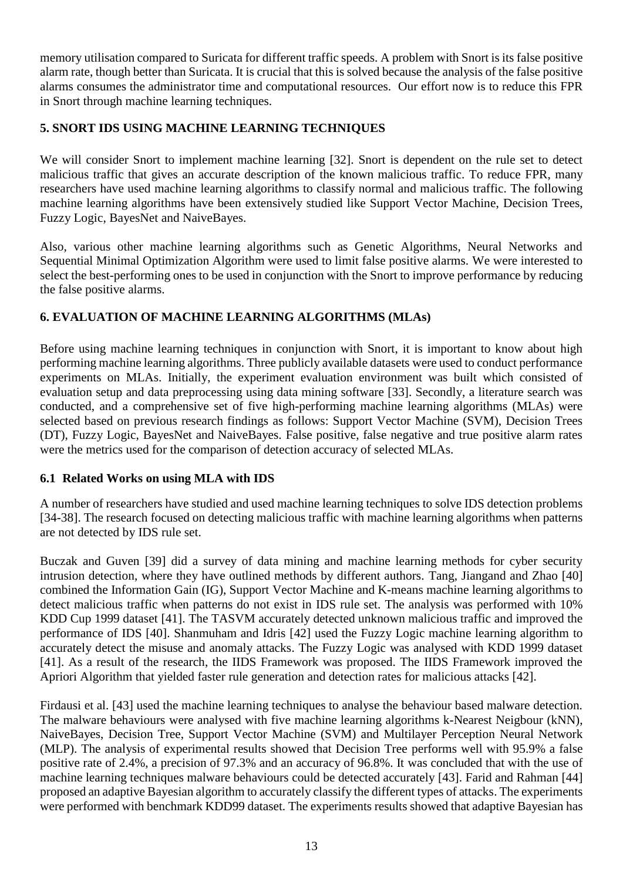memory utilisation compared to Suricata for different traffic speeds. A problem with Snort is its false positive alarm rate, though better than Suricata. It is crucial that this is solved because the analysis of the false positive alarms consumes the administrator time and computational resources. Our effort now is to reduce this FPR in Snort through machine learning techniques.

# **5. SNORT IDS USING MACHINE LEARNING TECHNIQUES**

We will consider Snort to implement machine learning [32]. Snort is dependent on the rule set to detect malicious traffic that gives an accurate description of the known malicious traffic. To reduce FPR, many researchers have used machine learning algorithms to classify normal and malicious traffic. The following machine learning algorithms have been extensively studied like Support Vector Machine, Decision Trees, Fuzzy Logic, BayesNet and NaiveBayes.

Also, various other machine learning algorithms such as Genetic Algorithms, Neural Networks and Sequential Minimal Optimization Algorithm were used to limit false positive alarms. We were interested to select the best-performing ones to be used in conjunction with the Snort to improve performance by reducing the false positive alarms.

## **6. EVALUATION OF MACHINE LEARNING ALGORITHMS (MLAs)**

Before using machine learning techniques in conjunction with Snort, it is important to know about high performing machine learning algorithms. Three publicly available datasets were used to conduct performance experiments on MLAs. Initially, the experiment evaluation environment was built which consisted of evaluation setup and data preprocessing using data mining software [33]. Secondly, a literature search was conducted, and a comprehensive set of five high-performing machine learning algorithms (MLAs) were selected based on previous research findings as follows: Support Vector Machine (SVM), Decision Trees (DT), Fuzzy Logic, BayesNet and NaiveBayes. False positive, false negative and true positive alarm rates were the metrics used for the comparison of detection accuracy of selected MLAs.

### **6.1 Related Works on using MLA with IDS**

A number of researchers have studied and used machine learning techniques to solve IDS detection problems [34-38]. The research focused on detecting malicious traffic with machine learning algorithms when patterns are not detected by IDS rule set.

Buczak and Guven [39] did a survey of data mining and machine learning methods for cyber security intrusion detection, where they have outlined methods by different authors. Tang, Jiangand and Zhao [40] combined the Information Gain (IG), Support Vector Machine and K-means machine learning algorithms to detect malicious traffic when patterns do not exist in IDS rule set. The analysis was performed with 10% KDD Cup 1999 dataset [41]. The TASVM accurately detected unknown malicious traffic and improved the performance of IDS [40]. Shanmuham and Idris [42] used the Fuzzy Logic machine learning algorithm to accurately detect the misuse and anomaly attacks. The Fuzzy Logic was analysed with KDD 1999 dataset [41]. As a result of the research, the IIDS Framework was proposed. The IIDS Framework improved the Apriori Algorithm that yielded faster rule generation and detection rates for malicious attacks [42].

Firdausi et al. [43] used the machine learning techniques to analyse the behaviour based malware detection. The malware behaviours were analysed with five machine learning algorithms k-Nearest Neigbour (kNN), NaiveBayes, Decision Tree, Support Vector Machine (SVM) and Multilayer Perception Neural Network (MLP). The analysis of experimental results showed that Decision Tree performs well with 95.9% a false positive rate of 2.4%, a precision of 97.3% and an accuracy of 96.8%. It was concluded that with the use of machine learning techniques malware behaviours could be detected accurately [43]. Farid and Rahman [44] proposed an adaptive Bayesian algorithm to accurately classify the different types of attacks. The experiments were performed with benchmark KDD99 dataset. The experiments results showed that adaptive Bayesian has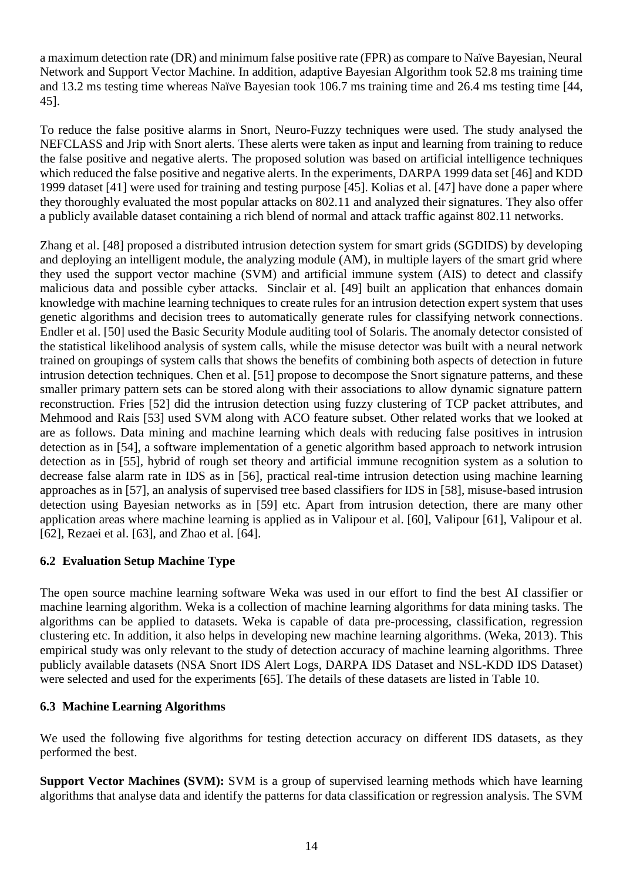a maximum detection rate (DR) and minimum false positive rate (FPR) as compare to Naïve Bayesian, Neural Network and Support Vector Machine. In addition, adaptive Bayesian Algorithm took 52.8 ms training time and 13.2 ms testing time whereas Naïve Bayesian took 106.7 ms training time and 26.4 ms testing time [44, 45].

To reduce the false positive alarms in Snort, Neuro-Fuzzy techniques were used. The study analysed the NEFCLASS and Jrip with Snort alerts. These alerts were taken as input and learning from training to reduce the false positive and negative alerts. The proposed solution was based on artificial intelligence techniques which reduced the false positive and negative alerts. In the experiments, DARPA 1999 data set [46] and KDD 1999 dataset [41] were used for training and testing purpose [45]. Kolias et al. [47] have done a paper where they thoroughly evaluated the most popular attacks on 802.11 and analyzed their signatures. They also offer a publicly available dataset containing a rich blend of normal and attack traffic against 802.11 networks.

Zhang et al. [48] proposed a distributed intrusion detection system for smart grids (SGDIDS) by developing and deploying an intelligent module, the analyzing module (AM), in multiple layers of the smart grid where they used the support vector machine (SVM) and artificial immune system (AIS) to detect and classify malicious data and possible cyber attacks. Sinclair et al. [49] built an application that enhances domain knowledge with machine learning techniques to create rules for an intrusion detection expert system that uses genetic algorithms and decision trees to automatically generate rules for classifying network connections. Endler et al. [50] used the Basic Security Module auditing tool of Solaris. The anomaly detector consisted of the statistical likelihood analysis of system calls, while the misuse detector was built with a neural network trained on groupings of system calls that shows the benefits of combining both aspects of detection in future intrusion detection techniques. Chen et al. [51] propose to decompose the Snort signature patterns, and these smaller primary pattern sets can be stored along with their associations to allow dynamic signature pattern reconstruction. Fries [52] did the intrusion detection using fuzzy clustering of TCP packet attributes, and Mehmood and Rais [53] used SVM along with ACO feature subset. Other related works that we looked at are as follows. Data mining and machine learning which deals with reducing false positives in intrusion detection as in [54], a software implementation of a genetic algorithm based approach to network intrusion detection as in [55], hybrid of rough set theory and artificial immune recognition system as a solution to decrease false alarm rate in IDS as in [56], practical real-time intrusion detection using machine learning approaches as in [57], an analysis of supervised tree based classifiers for IDS in [58], misuse-based intrusion detection using Bayesian networks as in [59] etc. Apart from intrusion detection, there are many other application areas where machine learning is applied as in Valipour et al. [60], Valipour [61], Valipour et al. [62], Rezaei et al. [63], and Zhao et al. [64].

### **6.2 Evaluation Setup Machine Type**

The open source machine learning software Weka was used in our effort to find the best AI classifier or machine learning algorithm. Weka is a collection of machine learning algorithms for data mining tasks. The algorithms can be applied to datasets. Weka is capable of data pre-processing, classification, regression clustering etc. In addition, it also helps in developing new machine learning algorithms. (Weka, 2013). This empirical study was only relevant to the study of detection accuracy of machine learning algorithms. Three publicly available datasets (NSA Snort IDS Alert Logs, DARPA IDS Dataset and NSL-KDD IDS Dataset) were selected and used for the experiments [65]. The details of these datasets are listed in Table 10.

### **6.3 Machine Learning Algorithms**

We used the following five algorithms for testing detection accuracy on different IDS datasets, as they performed the best.

**Support Vector Machines (SVM):** SVM is a group of supervised learning methods which have learning algorithms that analyse data and identify the patterns for data classification or regression analysis. The SVM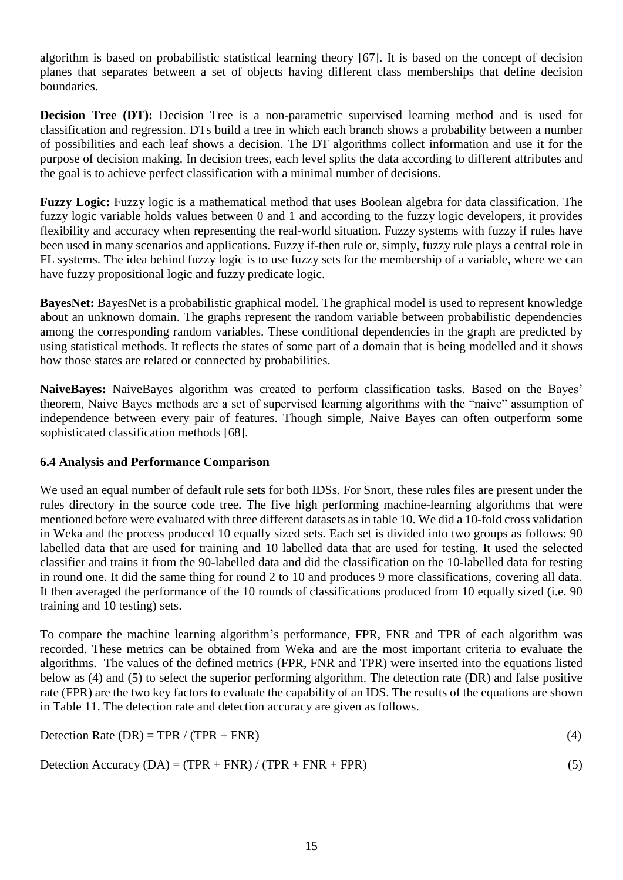algorithm is based on probabilistic statistical learning theory [67]. It is based on the concept of decision planes that separates between a set of objects having different class memberships that define decision boundaries.

**Decision Tree (DT):** Decision Tree is a non-parametric supervised learning method and is used for classification and regression. DTs build a tree in which each branch shows a probability between a number of possibilities and each leaf shows a decision. The DT algorithms collect information and use it for the purpose of decision making. In decision trees, each level splits the data according to different attributes and the goal is to achieve perfect classification with a minimal number of decisions.

**Fuzzy Logic:** Fuzzy logic is a mathematical method that uses Boolean algebra for data classification. The fuzzy logic variable holds values between 0 and 1 and according to the fuzzy logic developers, it provides flexibility and accuracy when representing the real-world situation. Fuzzy systems with fuzzy if rules have been used in many scenarios and applications. Fuzzy if-then rule or, simply, fuzzy rule plays a central role in FL systems. The idea behind fuzzy logic is to use fuzzy sets for the membership of a variable, where we can have fuzzy propositional logic and fuzzy predicate logic.

**BayesNet:** BayesNet is a probabilistic graphical model. The graphical model is used to represent knowledge about an unknown domain. The graphs represent the random variable between probabilistic dependencies among the corresponding random variables. These conditional dependencies in the graph are predicted by using statistical methods. It reflects the states of some part of a domain that is being modelled and it shows how those states are related or connected by probabilities.

**NaiveBayes:** NaiveBayes algorithm was created to perform classification tasks. Based on the Bayes' theorem, Naive Bayes methods are a set of supervised learning algorithms with the "naive" assumption of independence between every pair of features. Though simple, Naive Bayes can often outperform some sophisticated classification methods [68].

### **6.4 Analysis and Performance Comparison**

We used an equal number of default rule sets for both IDSs. For Snort, these rules files are present under the rules directory in the source code tree. The five high performing machine-learning algorithms that were mentioned before were evaluated with three different datasets as in table 10. We did a 10-fold cross validation in Weka and the process produced 10 equally sized sets. Each set is divided into two groups as follows: 90 labelled data that are used for training and 10 labelled data that are used for testing. It used the selected classifier and trains it from the 90-labelled data and did the classification on the 10-labelled data for testing in round one. It did the same thing for round 2 to 10 and produces 9 more classifications, covering all data. It then averaged the performance of the 10 rounds of classifications produced from 10 equally sized (i.e. 90 training and 10 testing) sets.

To compare the machine learning algorithm's performance, FPR, FNR and TPR of each algorithm was recorded. These metrics can be obtained from Weka and are the most important criteria to evaluate the algorithms. The values of the defined metrics (FPR, FNR and TPR) were inserted into the equations listed below as (4) and (5) to select the superior performing algorithm. The detection rate (DR) and false positive rate (FPR) are the two key factors to evaluate the capability of an IDS. The results of the equations are shown in Table 11. The detection rate and detection accuracy are given as follows.

| Detection Rate (DR) = TPR / (TPR + FNR) |  |
|-----------------------------------------|--|
|-----------------------------------------|--|

Detection Accuracy  $(DA) = (TPR + FNR) / (TPR + FNR + FPR)$  (5)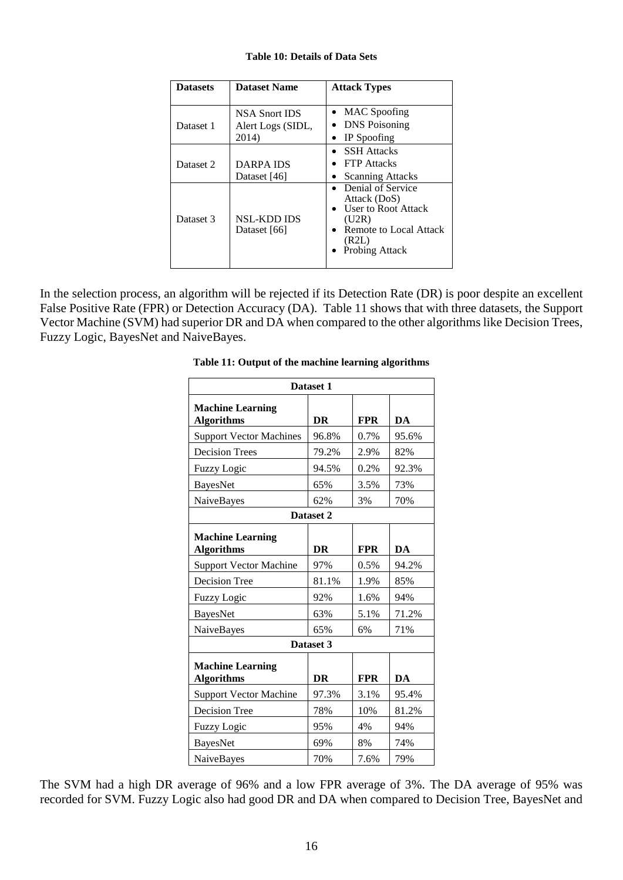| <b>Table 10: Details of Data Sets</b> |  |
|---------------------------------------|--|
|---------------------------------------|--|

| <b>Datasets</b> | <b>Dataset Name</b>                         | <b>Attack Types</b>                                                                                                                        |
|-----------------|---------------------------------------------|--------------------------------------------------------------------------------------------------------------------------------------------|
| Dataset 1       | NSA Snort IDS<br>Alert Logs (SIDL,<br>2014) | • MAC Spoofing<br><b>DNS</b> Poisoning<br>IP Spoofing<br>$\bullet$                                                                         |
| Dataset 2       | DARPA IDS<br>Dataset [46]                   | • SSH Attacks<br><b>FTP</b> Attacks<br>$\bullet$<br><b>Scanning Attacks</b>                                                                |
| Dataset 3       | <b>NSL-KDD IDS</b><br>Dataset [66]          | Denial of Service<br>Attack (DoS)<br><b>User to Root Attack</b><br>(U2R)<br>Remote to Local Attack<br>$\bullet$<br>(R2L)<br>Probing Attack |

In the selection process, an algorithm will be rejected if its Detection Rate (DR) is poor despite an excellent False Positive Rate (FPR) or Detection Accuracy (DA). Table 11 shows that with three datasets, the Support Vector Machine (SVM) had superior DR and DA when compared to the other algorithms like Decision Trees, Fuzzy Logic, BayesNet and NaiveBayes.

| Dataset 1                                    |           |            |           |  |  |
|----------------------------------------------|-----------|------------|-----------|--|--|
| <b>Machine Learning</b><br><b>Algorithms</b> | DR        | <b>FPR</b> | DA        |  |  |
| <b>Support Vector Machines</b>               | 96.8%     | 0.7%       | 95.6%     |  |  |
| <b>Decision Trees</b>                        | 79.2%     | 2.9%       | 82%       |  |  |
| <b>Fuzzy Logic</b>                           | 94.5%     | 0.2%       | 92.3%     |  |  |
| BayesNet                                     | 65%       | 3.5%       | 73%       |  |  |
| NaiveBayes                                   | 62%       | 3%         | 70%       |  |  |
|                                              | Dataset 2 |            |           |  |  |
| <b>Machine Learning</b><br><b>Algorithms</b> | DR        | <b>FPR</b> | DA        |  |  |
| <b>Support Vector Machine</b>                | 97%       | 0.5%       | 94.2%     |  |  |
| <b>Decision Tree</b>                         | 81.1%     | 1.9%       | 85%       |  |  |
| <b>Fuzzy Logic</b>                           | 92%       | 1.6%       | 94%       |  |  |
| BayesNet                                     | 63%       | 5.1%       | 71.2%     |  |  |
| NaiveBayes                                   | 65%       | 6%         | 71%       |  |  |
|                                              | Dataset 3 |            |           |  |  |
| <b>Machine Learning</b><br><b>Algorithms</b> | DR        | <b>FPR</b> | <b>DA</b> |  |  |
| <b>Support Vector Machine</b>                | 97.3%     | 3.1%       | 95.4%     |  |  |
| Decision Tree                                | 78%       | 10%        | 81.2%     |  |  |
| <b>Fuzzy Logic</b>                           | 95%       | 4%         | 94%       |  |  |
| BayesNet                                     | 69%       | 8%         | 74%       |  |  |
| NaiveBayes                                   | 70%       | 7.6%       | 79%       |  |  |

#### **Table 11: Output of the machine learning algorithms**

The SVM had a high DR average of 96% and a low FPR average of 3%. The DA average of 95% was recorded for SVM. Fuzzy Logic also had good DR and DA when compared to Decision Tree, BayesNet and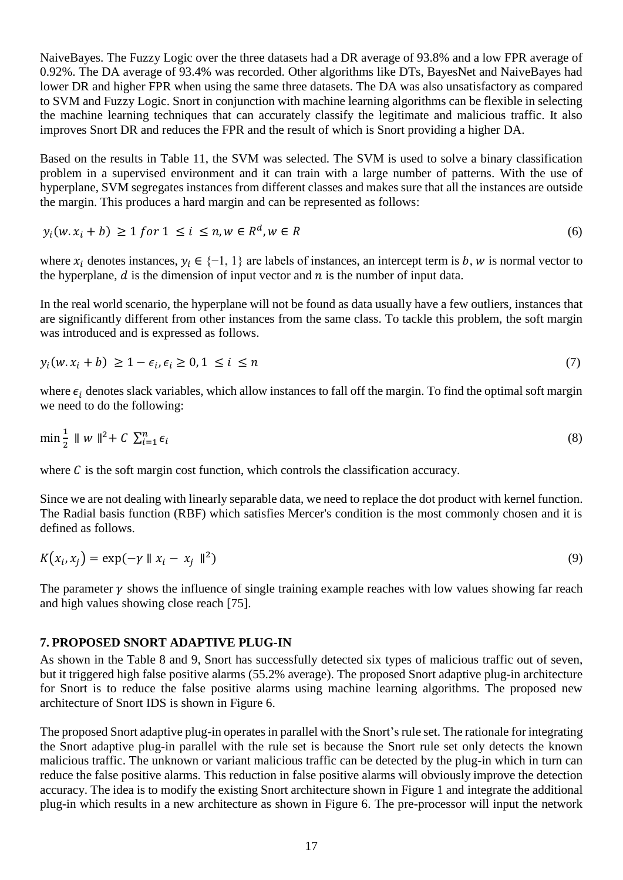NaiveBayes. The Fuzzy Logic over the three datasets had a DR average of 93.8% and a low FPR average of 0.92%. The DA average of 93.4% was recorded. Other algorithms like DTs, BayesNet and NaiveBayes had lower DR and higher FPR when using the same three datasets. The DA was also unsatisfactory as compared to SVM and Fuzzy Logic. Snort in conjunction with machine learning algorithms can be flexible in selecting the machine learning techniques that can accurately classify the legitimate and malicious traffic. It also improves Snort DR and reduces the FPR and the result of which is Snort providing a higher DA.

Based on the results in Table 11, the SVM was selected. The SVM is used to solve a binary classification problem in a supervised environment and it can train with a large number of patterns. With the use of hyperplane, SVM segregates instances from different classes and makes sure that all the instances are outside the margin. This produces a hard margin and can be represented as follows:

$$
y_i(w.x_i + b) \ge 1 \text{ for } 1 \le i \le n, w \in R^d, w \in R
$$
 (6)

where  $x_i$  denotes instances,  $y_i \in \{-1, 1\}$  are labels of instances, an intercept term is b, w is normal vector to the hyperplane,  $d$  is the dimension of input vector and  $n$  is the number of input data.

In the real world scenario, the hyperplane will not be found as data usually have a few outliers, instances that are significantly different from other instances from the same class. To tackle this problem, the soft margin was introduced and is expressed as follows.

$$
y_i(w \cdot x_i + b) \ge 1 - \epsilon_i, \epsilon_i \ge 0, 1 \le i \le n
$$
\n<sup>(7)</sup>

where  $\epsilon_i$  denotes slack variables, which allow instances to fall off the margin. To find the optimal soft margin we need to do the following:

$$
\min_{2} \parallel w \parallel^{2} + C \sum_{i=1}^{n} \epsilon_{i}
$$
\n
$$
(8)
$$

where  $C$  is the soft margin cost function, which controls the classification accuracy.

Since we are not dealing with linearly separable data, we need to replace the dot product with kernel function. The Radial basis function (RBF) which satisfies Mercer's condition is the most commonly chosen and it is defined as follows.

$$
K(x_i, x_j) = \exp(-\gamma \| x_i - x_j \|^2)
$$
\n(9)

The parameter  $\gamma$  shows the influence of single training example reaches with low values showing far reach and high values showing close reach [75].

### **7. PROPOSED SNORT ADAPTIVE PLUG-IN**

As shown in the Table 8 and 9, Snort has successfully detected six types of malicious traffic out of seven, but it triggered high false positive alarms (55.2% average). The proposed Snort adaptive plug-in architecture for Snort is to reduce the false positive alarms using machine learning algorithms. The proposed new architecture of Snort IDS is shown in Figure 6.

The proposed Snort adaptive plug-in operates in parallel with the Snort's rule set. The rationale for integrating the Snort adaptive plug-in parallel with the rule set is because the Snort rule set only detects the known malicious traffic. The unknown or variant malicious traffic can be detected by the plug-in which in turn can reduce the false positive alarms. This reduction in false positive alarms will obviously improve the detection accuracy. The idea is to modify the existing Snort architecture shown in Figure 1 and integrate the additional plug-in which results in a new architecture as shown in Figure 6. The pre-processor will input the network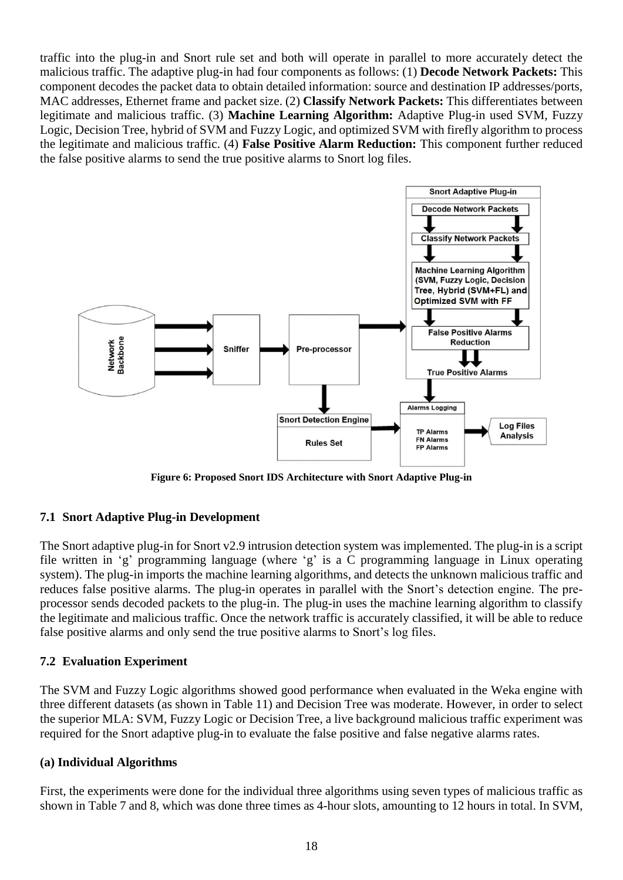traffic into the plug-in and Snort rule set and both will operate in parallel to more accurately detect the malicious traffic. The adaptive plug-in had four components as follows: (1) **Decode Network Packets:** This component decodes the packet data to obtain detailed information: source and destination IP addresses/ports, MAC addresses, Ethernet frame and packet size. (2) **Classify Network Packets:** This differentiates between legitimate and malicious traffic. (3) **Machine Learning Algorithm:** Adaptive Plug-in used SVM, Fuzzy Logic, Decision Tree, hybrid of SVM and Fuzzy Logic, and optimized SVM with firefly algorithm to process the legitimate and malicious traffic. (4) **False Positive Alarm Reduction:** This component further reduced the false positive alarms to send the true positive alarms to Snort log files.



**Figure 6: Proposed Snort IDS Architecture with Snort Adaptive Plug-in**

# **7.1 Snort Adaptive Plug-in Development**

The Snort adaptive plug-in for Snort v2.9 intrusion detection system was implemented. The plug-in is a script file written in 'g' programming language (where 'g' is a C programming language in Linux operating system). The plug-in imports the machine learning algorithms, and detects the unknown malicious traffic and reduces false positive alarms. The plug-in operates in parallel with the Snort's detection engine. The preprocessor sends decoded packets to the plug-in. The plug-in uses the machine learning algorithm to classify the legitimate and malicious traffic. Once the network traffic is accurately classified, it will be able to reduce false positive alarms and only send the true positive alarms to Snort's log files.

### **7.2 Evaluation Experiment**

The SVM and Fuzzy Logic algorithms showed good performance when evaluated in the Weka engine with three different datasets (as shown in Table 11) and Decision Tree was moderate. However, in order to select the superior MLA: SVM, Fuzzy Logic or Decision Tree, a live background malicious traffic experiment was required for the Snort adaptive plug-in to evaluate the false positive and false negative alarms rates.

### **(a) Individual Algorithms**

First, the experiments were done for the individual three algorithms using seven types of malicious traffic as shown in Table 7 and 8, which was done three times as 4-hour slots, amounting to 12 hours in total. In SVM,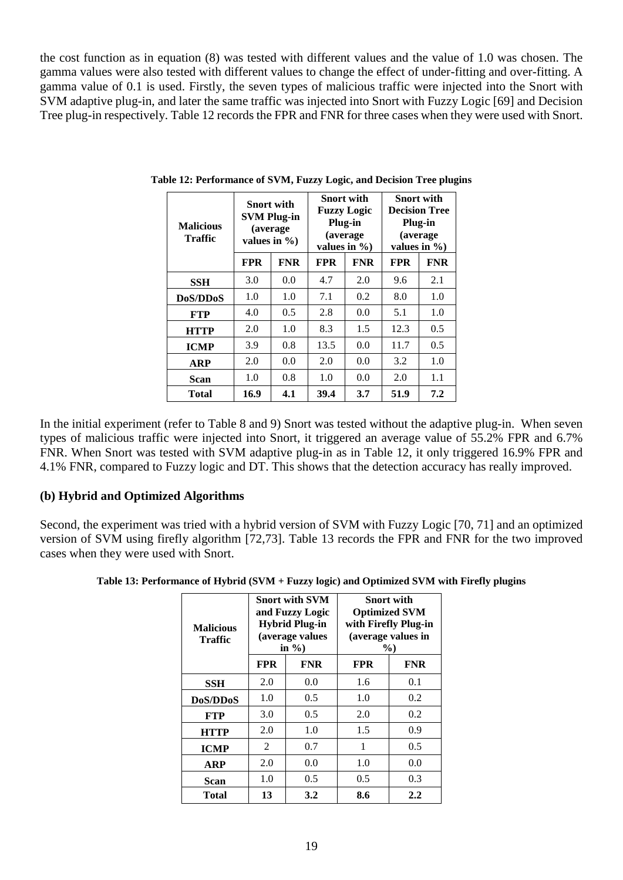the cost function as in equation (8) was tested with different values and the value of 1.0 was chosen. The gamma values were also tested with different values to change the effect of under-fitting and over-fitting. A gamma value of 0.1 is used. Firstly, the seven types of malicious traffic were injected into the Snort with SVM adaptive plug-in, and later the same traffic was injected into Snort with Fuzzy Logic [69] and Decision Tree plug-in respectively. Table 12 records the FPR and FNR for three cases when they were used with Snort.

| <b>Malicious</b><br><b>Traffic</b> |            | <b>Snort with</b><br><b>Snort with</b><br><b>Decision Tree</b><br><b>Fuzzy Logic</b><br><b>SVM Plug-in</b><br>Plug-in<br><b>Plug-in</b><br>(average<br>(average<br>(average<br>values in $\%$ )<br>values in $\%$ )<br>values in $\%$ ) |            | <b>Snort with</b> |            |            |
|------------------------------------|------------|-----------------------------------------------------------------------------------------------------------------------------------------------------------------------------------------------------------------------------------------|------------|-------------------|------------|------------|
|                                    | <b>FPR</b> | <b>FNR</b>                                                                                                                                                                                                                              | <b>FPR</b> | <b>FNR</b>        | <b>FPR</b> | <b>FNR</b> |
| <b>SSH</b>                         | 3.0        | 0.0                                                                                                                                                                                                                                     | 4.7        | 2.0               | 9.6        | 2.1        |
| DoS/DDoS                           | 1.0        | 1.0                                                                                                                                                                                                                                     | 7.1        | 0.2               | 8.0        | 1.0        |
| <b>FTP</b>                         | 4.0        | 0.5                                                                                                                                                                                                                                     | 2.8        | 0.0               | 5.1        | 1.0        |
| <b>HTTP</b>                        | 2.0        | 1.0                                                                                                                                                                                                                                     | 8.3        | 1.5               | 12.3       | 0.5        |
| <b>ICMP</b>                        | 3.9        | 0.8                                                                                                                                                                                                                                     | 13.5       | 0.0               | 11.7       | 0.5        |
| <b>ARP</b>                         | 2.0        | 0.0                                                                                                                                                                                                                                     | 2.0        | 0.0               | 3.2        | 1.0        |
| Scan                               | 1.0        | 0.8                                                                                                                                                                                                                                     | 1.0        | 0.0               | 2.0        | 1.1        |
| Total                              | 16.9       | 4.1                                                                                                                                                                                                                                     | 39.4       | 3.7               | 51.9       | 7.2        |

**Table 12: Performance of SVM, Fuzzy Logic, and Decision Tree plugins**

In the initial experiment (refer to Table 8 and 9) Snort was tested without the adaptive plug-in. When seven types of malicious traffic were injected into Snort, it triggered an average value of 55.2% FPR and 6.7% FNR. When Snort was tested with SVM adaptive plug-in as in Table 12, it only triggered 16.9% FPR and 4.1% FNR, compared to Fuzzy logic and DT. This shows that the detection accuracy has really improved.

### **(b) Hybrid and Optimized Algorithms**

Second, the experiment was tried with a hybrid version of SVM with Fuzzy Logic [70, 71] and an optimized version of SVM using firefly algorithm [72,73]. Table 13 records the FPR and FNR for the two improved cases when they were used with Snort.

| Table 13: Performance of Hybrid (SVM + Fuzzy logic) and Optimized SVM with Firefly plugins |  |  |  |
|--------------------------------------------------------------------------------------------|--|--|--|
|--------------------------------------------------------------------------------------------|--|--|--|

| <b>Malicious</b><br>Traffic |                          | <b>Snort with SVM</b><br>and Fuzzy Logic<br><b>Hybrid Plug-in</b><br>(average values<br>in $\%$ ) | <b>Snort with</b><br><b>Optimized SVM</b><br>with Firefly Plug-in<br>(average values in<br>$\%$ |            |  |
|-----------------------------|--------------------------|---------------------------------------------------------------------------------------------------|-------------------------------------------------------------------------------------------------|------------|--|
|                             | <b>FPR</b><br><b>FNR</b> |                                                                                                   | <b>FPR</b>                                                                                      | <b>FNR</b> |  |
| SSH                         | 2.0                      | 0.0                                                                                               | 1.6                                                                                             | 0.1        |  |
| DoS/DDoS                    | 1.0                      | 0.5                                                                                               | 1.0                                                                                             | 0.2        |  |
| <b>FTP</b>                  | 3.0                      | 0.5                                                                                               | 2.0                                                                                             | 0.2        |  |
| <b>HTTP</b>                 | 2.0                      | 1.0                                                                                               | 1.5                                                                                             | 0.9        |  |
| <b>ICMP</b>                 | 2                        | 0.7                                                                                               | 1                                                                                               | 0.5        |  |
| ARP                         | 2.0                      | 0.0                                                                                               | 1.0                                                                                             | 0.0        |  |
| Scan                        | 1.0                      | 0.5                                                                                               | 0.5                                                                                             | 0.3        |  |
| Total                       | 13                       | 3.2                                                                                               | 8.6                                                                                             | 2.2        |  |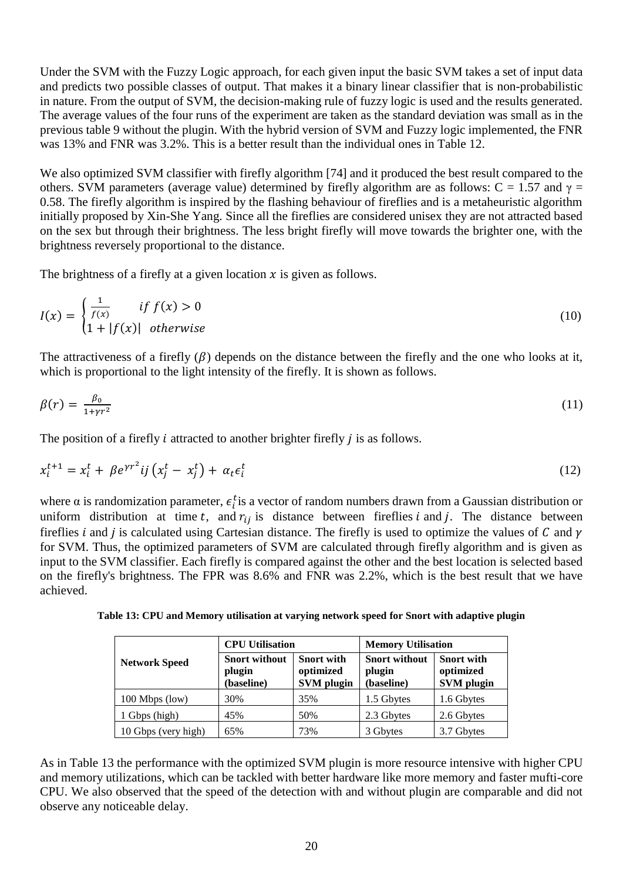Under the SVM with the Fuzzy Logic approach, for each given input the basic SVM takes a set of input data and predicts two possible classes of output. That makes it a binary linear classifier that is non-probabilistic in nature. From the output of SVM, the decision-making rule of fuzzy logic is used and the results generated. The average values of the four runs of the experiment are taken as the standard deviation was small as in the previous table 9 without the plugin. With the hybrid version of SVM and Fuzzy logic implemented, the FNR was 13% and FNR was 3.2%. This is a better result than the individual ones in Table 12.

We also optimized SVM classifier with firefly algorithm [74] and it produced the best result compared to the others. SVM parameters (average value) determined by firefly algorithm are as follows:  $C = 1.57$  and  $\gamma =$ 0.58. The firefly algorithm is inspired by the flashing behaviour of fireflies and is a metaheuristic algorithm initially proposed by Xin-She Yang. Since all the fireflies are considered unisex they are not attracted based on the sex but through their brightness. The less bright firefly will move towards the brighter one, with the brightness reversely proportional to the distance.

The brightness of a firefly at a given location  $x$  is given as follows.

$$
I(x) = \begin{cases} \frac{1}{f(x)} & \text{if } f(x) > 0\\ 1 + |f(x)| & \text{otherwise} \end{cases} \tag{10}
$$

The attractiveness of a firefly  $(\beta)$  depends on the distance between the firefly and the one who looks at it, which is proportional to the light intensity of the firefly. It is shown as follows.

$$
\beta(r) = \frac{\beta_0}{1 + \gamma r^2} \tag{11}
$$

The position of a firefly  $i$  attracted to another brighter firefly  $j$  is as follows.

$$
x_i^{t+1} = x_i^t + \beta e^{\gamma r^2} i j \left( x_j^t - x_j^t \right) + \alpha_t \epsilon_i^t \tag{12}
$$

where  $\alpha$  is randomization parameter,  $\epsilon_i^t$  is a vector of random numbers drawn from a Gaussian distribution or uniform distribution at time t, and  $r_{ij}$  is distance between fireflies *i* and *j*. The distance between fireflies *i* and *j* is calculated using Cartesian distance. The firefly is used to optimize the values of C and  $\gamma$ for SVM. Thus, the optimized parameters of SVM are calculated through firefly algorithm and is given as input to the SVM classifier. Each firefly is compared against the other and the best location is selected based on the firefly's brightness. The FPR was 8.6% and FNR was 2.2%, which is the best result that we have achieved.

**Table 13: CPU and Memory utilisation at varying network speed for Snort with adaptive plugin**

|                      | <b>CPU Utilisation</b>                                                                              |     | <b>Memory Utilisation</b>                    |                                                     |  |
|----------------------|-----------------------------------------------------------------------------------------------------|-----|----------------------------------------------|-----------------------------------------------------|--|
| <b>Network Speed</b> | <b>Snort without</b><br><b>Snort with</b><br>optimized<br>plugin<br><b>SVM</b> plugin<br>(baseline) |     | <b>Snort without</b><br>plugin<br>(baseline) | <b>Snort with</b><br>optimized<br><b>SVM</b> plugin |  |
| $100$ Mbps $(low)$   | 30%                                                                                                 | 35% | 1.5 Gbytes                                   | 1.6 Gbytes                                          |  |
| 1 Gbps (high)        | 45%                                                                                                 | 50% | 2.3 Gbytes                                   | 2.6 Gbytes                                          |  |
| 10 Gbps (very high)  | 65%                                                                                                 | 73% | 3 Gbytes                                     | 3.7 Gbytes                                          |  |

As in Table 13 the performance with the optimized SVM plugin is more resource intensive with higher CPU and memory utilizations, which can be tackled with better hardware like more memory and faster mufti-core CPU. We also observed that the speed of the detection with and without plugin are comparable and did not observe any noticeable delay.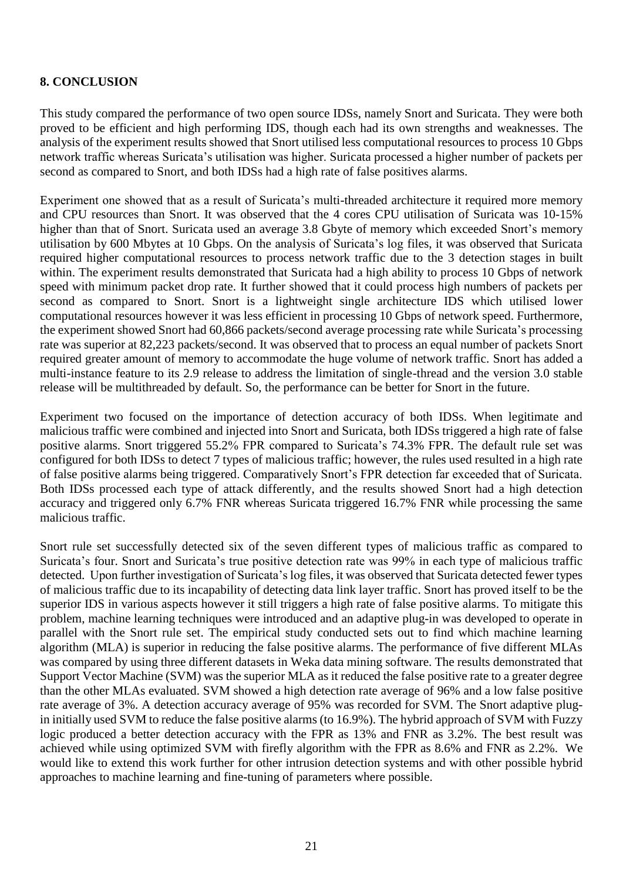### **8. CONCLUSION**

This study compared the performance of two open source IDSs, namely Snort and Suricata. They were both proved to be efficient and high performing IDS, though each had its own strengths and weaknesses. The analysis of the experiment results showed that Snort utilised less computational resources to process 10 Gbps network traffic whereas Suricata's utilisation was higher. Suricata processed a higher number of packets per second as compared to Snort, and both IDSs had a high rate of false positives alarms.

Experiment one showed that as a result of Suricata's multi-threaded architecture it required more memory and CPU resources than Snort. It was observed that the 4 cores CPU utilisation of Suricata was 10-15% higher than that of Snort. Suricata used an average 3.8 Gbyte of memory which exceeded Snort's memory utilisation by 600 Mbytes at 10 Gbps. On the analysis of Suricata's log files, it was observed that Suricata required higher computational resources to process network traffic due to the 3 detection stages in built within. The experiment results demonstrated that Suricata had a high ability to process 10 Gbps of network speed with minimum packet drop rate. It further showed that it could process high numbers of packets per second as compared to Snort. Snort is a lightweight single architecture IDS which utilised lower computational resources however it was less efficient in processing 10 Gbps of network speed. Furthermore, the experiment showed Snort had 60,866 packets/second average processing rate while Suricata's processing rate was superior at 82,223 packets/second. It was observed that to process an equal number of packets Snort required greater amount of memory to accommodate the huge volume of network traffic. Snort has added a multi-instance feature to its 2.9 release to address the limitation of single-thread and the version 3.0 stable release will be multithreaded by default. So, the performance can be better for Snort in the future.

Experiment two focused on the importance of detection accuracy of both IDSs. When legitimate and malicious traffic were combined and injected into Snort and Suricata, both IDSs triggered a high rate of false positive alarms. Snort triggered 55.2% FPR compared to Suricata's 74.3% FPR. The default rule set was configured for both IDSs to detect 7 types of malicious traffic; however, the rules used resulted in a high rate of false positive alarms being triggered. Comparatively Snort's FPR detection far exceeded that of Suricata. Both IDSs processed each type of attack differently, and the results showed Snort had a high detection accuracy and triggered only 6.7% FNR whereas Suricata triggered 16.7% FNR while processing the same malicious traffic.

Snort rule set successfully detected six of the seven different types of malicious traffic as compared to Suricata's four. Snort and Suricata's true positive detection rate was 99% in each type of malicious traffic detected. Upon further investigation of Suricata's log files, it was observed that Suricata detected fewer types of malicious traffic due to its incapability of detecting data link layer traffic. Snort has proved itself to be the superior IDS in various aspects however it still triggers a high rate of false positive alarms. To mitigate this problem, machine learning techniques were introduced and an adaptive plug-in was developed to operate in parallel with the Snort rule set. The empirical study conducted sets out to find which machine learning algorithm (MLA) is superior in reducing the false positive alarms. The performance of five different MLAs was compared by using three different datasets in Weka data mining software. The results demonstrated that Support Vector Machine (SVM) was the superior MLA as it reduced the false positive rate to a greater degree than the other MLAs evaluated. SVM showed a high detection rate average of 96% and a low false positive rate average of 3%. A detection accuracy average of 95% was recorded for SVM. The Snort adaptive plugin initially used SVM to reduce the false positive alarms (to 16.9%). The hybrid approach of SVM with Fuzzy logic produced a better detection accuracy with the FPR as 13% and FNR as 3.2%. The best result was achieved while using optimized SVM with firefly algorithm with the FPR as 8.6% and FNR as 2.2%. We would like to extend this work further for other intrusion detection systems and with other possible hybrid approaches to machine learning and fine-tuning of parameters where possible.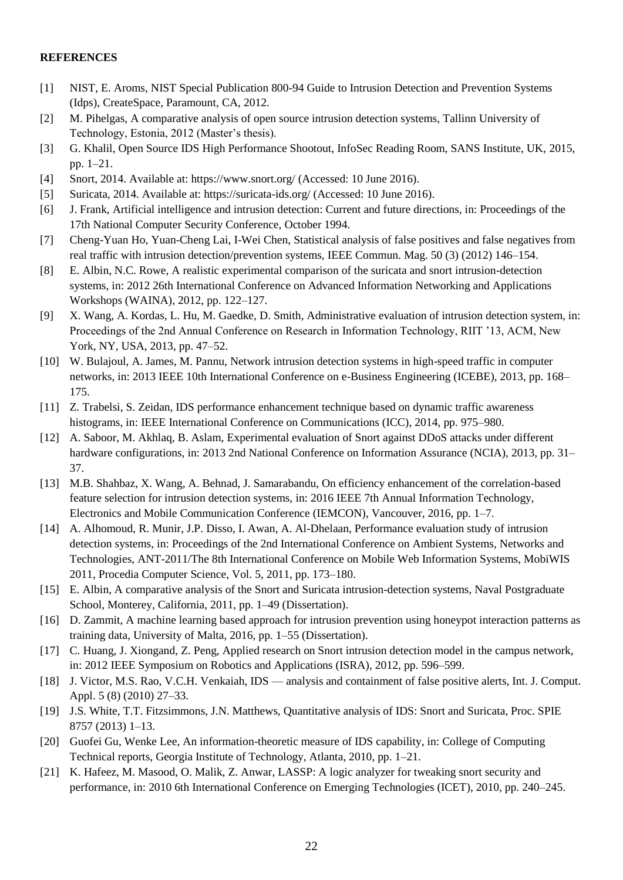#### **REFERENCES**

- [1] NIST, E. Aroms, NIST Special Publication 800-94 Guide to Intrusion Detection and Prevention Systems (Idps), CreateSpace, Paramount, CA, 2012.
- [2] M. Pihelgas, A comparative analysis of open source intrusion detection systems, Tallinn University of Technology, Estonia, 2012 (Master's thesis).
- [3] G. Khalil, Open Source IDS High Performance Shootout, InfoSec Reading Room, SANS Institute, UK, 2015, pp. 1–21.
- [4] Snort, 2014. Available at: https://www.snort.org/ (Accessed: 10 June 2016).
- [5] Suricata, 2014. Available at: https://suricata-ids.org/ (Accessed: 10 June 2016).
- [6] J. Frank, Artificial intelligence and intrusion detection: Current and future directions, in: Proceedings of the 17th National Computer Security Conference, October 1994.
- [7] Cheng-Yuan Ho, Yuan-Cheng Lai, I-Wei Chen, Statistical analysis of false positives and false negatives from real traffic with intrusion detection/prevention systems, IEEE Commun. Mag. 50 (3) (2012) 146–154.
- [8] E. Albin, N.C. Rowe, A realistic experimental comparison of the suricata and snort intrusion-detection systems, in: 2012 26th International Conference on Advanced Information Networking and Applications Workshops (WAINA), 2012, pp. 122–127.
- [9] X. Wang, A. Kordas, L. Hu, M. Gaedke, D. Smith, Administrative evaluation of intrusion detection system, in: Proceedings of the 2nd Annual Conference on Research in Information Technology, RIIT '13, ACM, New York, NY, USA, 2013, pp. 47–52.
- [10] W. Bulajoul, A. James, M. Pannu, Network intrusion detection systems in high-speed traffic in computer networks, in: 2013 IEEE 10th International Conference on e-Business Engineering (ICEBE), 2013, pp. 168– 175.
- [11] Z. Trabelsi, S. Zeidan, IDS performance enhancement technique based on dynamic traffic awareness histograms, in: IEEE International Conference on Communications (ICC), 2014, pp. 975–980.
- [12] A. Saboor, M. Akhlaq, B. Aslam, Experimental evaluation of Snort against DDoS attacks under different hardware configurations, in: 2013 2nd National Conference on Information Assurance (NCIA), 2013, pp. 31– 37.
- [13] M.B. Shahbaz, X. Wang, A. Behnad, J. Samarabandu, On efficiency enhancement of the correlation-based feature selection for intrusion detection systems, in: 2016 IEEE 7th Annual Information Technology, Electronics and Mobile Communication Conference (IEMCON), Vancouver, 2016, pp. 1–7.
- [14] A. Alhomoud, R. Munir, J.P. Disso, I. Awan, A. Al-Dhelaan, Performance evaluation study of intrusion detection systems, in: Proceedings of the 2nd International Conference on Ambient Systems, Networks and Technologies, ANT-2011/The 8th International Conference on Mobile Web Information Systems, MobiWIS 2011, Procedia Computer Science, Vol. 5, 2011, pp. 173–180.
- [15] E. Albin, A comparative analysis of the Snort and Suricata intrusion-detection systems, Naval Postgraduate School, Monterey, California, 2011, pp. 1–49 (Dissertation).
- [16] D. Zammit, A machine learning based approach for intrusion prevention using honeypot interaction patterns as training data, University of Malta, 2016, pp. 1–55 (Dissertation).
- [17] C. Huang, J. Xiongand, Z. Peng, Applied research on Snort intrusion detection model in the campus network, in: 2012 IEEE Symposium on Robotics and Applications (ISRA), 2012, pp. 596–599.
- [18] J. Victor, M.S. Rao, V.C.H. Venkaiah, IDS analysis and containment of false positive alerts, Int. J. Comput. Appl. 5 (8) (2010) 27–33.
- [19] J.S. White, T.T. Fitzsimmons, J.N. Matthews, Quantitative analysis of IDS: Snort and Suricata, Proc. SPIE 8757 (2013) 1–13.
- [20] Guofei Gu, Wenke Lee, An information-theoretic measure of IDS capability, in: College of Computing Technical reports, Georgia Institute of Technology, Atlanta, 2010, pp. 1–21.
- [21] K. Hafeez, M. Masood, O. Malik, Z. Anwar, LASSP: A logic analyzer for tweaking snort security and performance, in: 2010 6th International Conference on Emerging Technologies (ICET), 2010, pp. 240–245.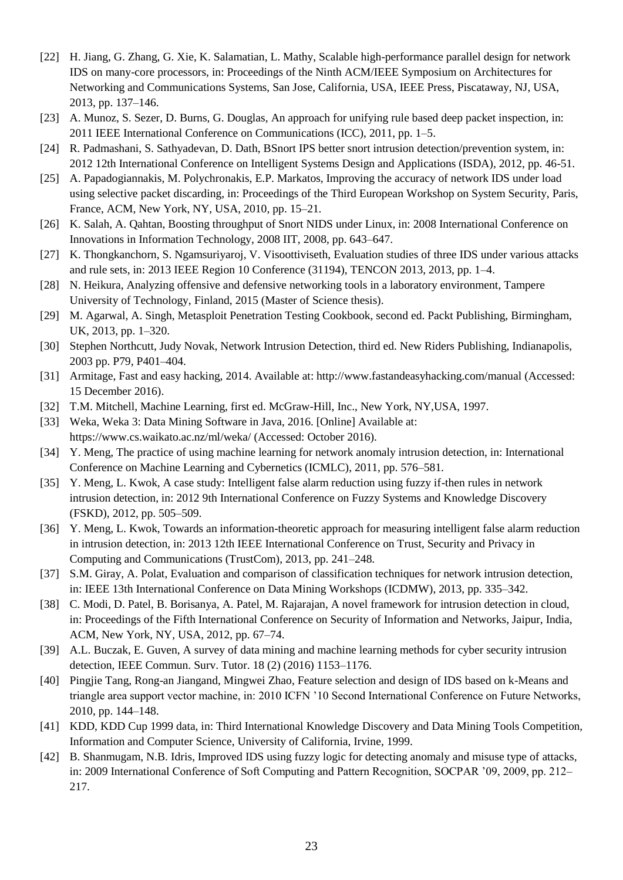- [22] H. Jiang, G. Zhang, G. Xie, K. Salamatian, L. Mathy, Scalable high-performance parallel design for network IDS on many-core processors, in: Proceedings of the Ninth ACM/IEEE Symposium on Architectures for Networking and Communications Systems, San Jose, California, USA, IEEE Press, Piscataway, NJ, USA, 2013, pp. 137–146.
- [23] A. Munoz, S. Sezer, D. Burns, G. Douglas, An approach for unifying rule based deep packet inspection, in: 2011 IEEE International Conference on Communications (ICC), 2011, pp. 1–5.
- [24] R. Padmashani, S. Sathyadevan, D. Dath, BSnort IPS better snort intrusion detection/prevention system, in: 2012 12th International Conference on Intelligent Systems Design and Applications (ISDA), 2012, pp. 46-51.
- [25] A. Papadogiannakis, M. Polychronakis, E.P. Markatos, Improving the accuracy of network IDS under load using selective packet discarding, in: Proceedings of the Third European Workshop on System Security, Paris, France, ACM, New York, NY, USA, 2010, pp. 15–21.
- [26] K. Salah, A. Qahtan, Boosting throughput of Snort NIDS under Linux, in: 2008 International Conference on Innovations in Information Technology, 2008 IIT, 2008, pp. 643–647.
- [27] K. Thongkanchorn, S. Ngamsuriyaroj, V. Visoottiviseth, Evaluation studies of three IDS under various attacks and rule sets, in: 2013 IEEE Region 10 Conference (31194), TENCON 2013, 2013, pp. 1–4.
- [28] N. Heikura, Analyzing offensive and defensive networking tools in a laboratory environment, Tampere University of Technology, Finland, 2015 (Master of Science thesis).
- [29] M. Agarwal, A. Singh, Metasploit Penetration Testing Cookbook, second ed. Packt Publishing, Birmingham, UK, 2013, pp. 1–320.
- [30] Stephen Northcutt, Judy Novak, Network Intrusion Detection, third ed. New Riders Publishing, Indianapolis, 2003 pp. P79, P401–404.
- [31] Armitage, Fast and easy hacking, 2014. Available at: http://www.fastandeasyhacking.com/manual (Accessed: 15 December 2016).
- [32] T.M. Mitchell, Machine Learning, first ed. McGraw-Hill, Inc., New York, NY,USA, 1997.
- [33] Weka, Weka 3: Data Mining Software in Java, 2016. [Online] Available at: https://www.cs.waikato.ac.nz/ml/weka/ (Accessed: October 2016).
- [34] Y. Meng, The practice of using machine learning for network anomaly intrusion detection, in: International Conference on Machine Learning and Cybernetics (ICMLC), 2011, pp. 576–581.
- [35] Y. Meng, L. Kwok, A case study: Intelligent false alarm reduction using fuzzy if-then rules in network intrusion detection, in: 2012 9th International Conference on Fuzzy Systems and Knowledge Discovery (FSKD), 2012, pp. 505–509.
- [36] Y. Meng, L. Kwok, Towards an information-theoretic approach for measuring intelligent false alarm reduction in intrusion detection, in: 2013 12th IEEE International Conference on Trust, Security and Privacy in Computing and Communications (TrustCom), 2013, pp. 241–248.
- [37] S.M. Giray, A. Polat, Evaluation and comparison of classification techniques for network intrusion detection, in: IEEE 13th International Conference on Data Mining Workshops (ICDMW), 2013, pp. 335–342.
- [38] C. Modi, D. Patel, B. Borisanya, A. Patel, M. Rajarajan, A novel framework for intrusion detection in cloud, in: Proceedings of the Fifth International Conference on Security of Information and Networks, Jaipur, India, ACM, New York, NY, USA, 2012, pp. 67–74.
- [39] A.L. Buczak, E. Guven, A survey of data mining and machine learning methods for cyber security intrusion detection, IEEE Commun. Surv. Tutor. 18 (2) (2016) 1153–1176.
- [40] Pingjie Tang, Rong-an Jiangand, Mingwei Zhao, Feature selection and design of IDS based on k-Means and triangle area support vector machine, in: 2010 ICFN '10 Second International Conference on Future Networks, 2010, pp. 144–148.
- [41] KDD, KDD Cup 1999 data, in: Third International Knowledge Discovery and Data Mining Tools Competition, Information and Computer Science, University of California, Irvine, 1999.
- [42] B. Shanmugam, N.B. Idris, Improved IDS using fuzzy logic for detecting anomaly and misuse type of attacks, in: 2009 International Conference of Soft Computing and Pattern Recognition, SOCPAR '09, 2009, pp. 212– 217.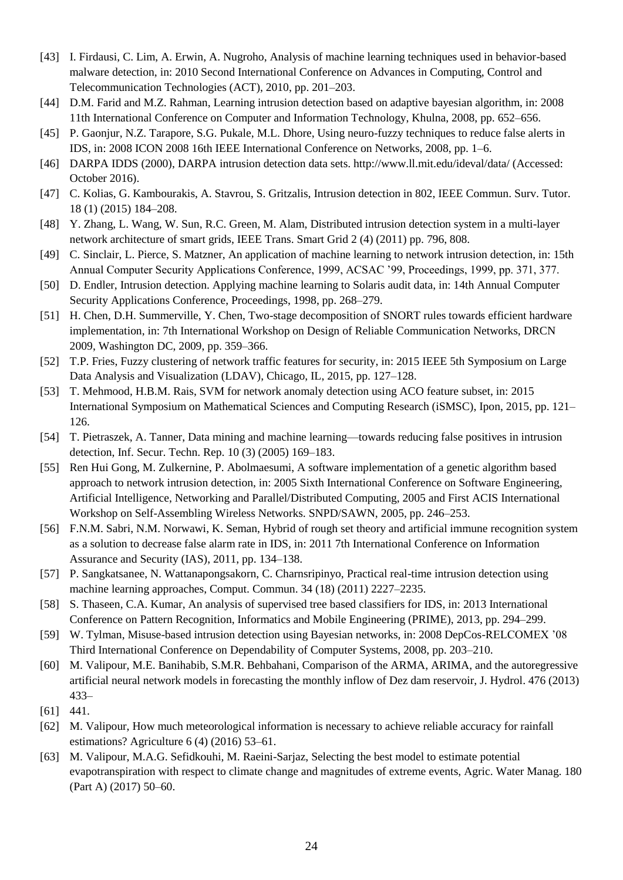- [43] I. Firdausi, C. Lim, A. Erwin, A. Nugroho, Analysis of machine learning techniques used in behavior-based malware detection, in: 2010 Second International Conference on Advances in Computing, Control and Telecommunication Technologies (ACT), 2010, pp. 201–203.
- [44] D.M. Farid and M.Z. Rahman, Learning intrusion detection based on adaptive bayesian algorithm, in: 2008 11th International Conference on Computer and Information Technology, Khulna, 2008, pp. 652–656.
- [45] P. Gaonjur, N.Z. Tarapore, S.G. Pukale, M.L. Dhore, Using neuro-fuzzy techniques to reduce false alerts in IDS, in: 2008 ICON 2008 16th IEEE International Conference on Networks, 2008, pp. 1–6.
- [46] DARPA IDDS (2000), DARPA intrusion detection data sets. http://www.ll.mit.edu/ideval/data/ (Accessed: October 2016).
- [47] C. Kolias, G. Kambourakis, A. Stavrou, S. Gritzalis, Intrusion detection in 802, IEEE Commun. Surv. Tutor. 18 (1) (2015) 184–208.
- [48] Y. Zhang, L. Wang, W. Sun, R.C. Green, M. Alam, Distributed intrusion detection system in a multi-layer network architecture of smart grids, IEEE Trans. Smart Grid 2 (4) (2011) pp. 796, 808.
- [49] C. Sinclair, L. Pierce, S. Matzner, An application of machine learning to network intrusion detection, in: 15th Annual Computer Security Applications Conference, 1999, ACSAC '99, Proceedings, 1999, pp. 371, 377.
- [50] D. Endler, Intrusion detection. Applying machine learning to Solaris audit data, in: 14th Annual Computer Security Applications Conference, Proceedings, 1998, pp. 268–279.
- [51] H. Chen, D.H. Summerville, Y. Chen, Two-stage decomposition of SNORT rules towards efficient hardware implementation, in: 7th International Workshop on Design of Reliable Communication Networks, DRCN 2009, Washington DC, 2009, pp. 359–366.
- [52] T.P. Fries, Fuzzy clustering of network traffic features for security, in: 2015 IEEE 5th Symposium on Large Data Analysis and Visualization (LDAV), Chicago, IL, 2015, pp. 127–128.
- [53] T. Mehmood, H.B.M. Rais, SVM for network anomaly detection using ACO feature subset, in: 2015 International Symposium on Mathematical Sciences and Computing Research (iSMSC), Ipon, 2015, pp. 121– 126.
- [54] T. Pietraszek, A. Tanner, Data mining and machine learning—towards reducing false positives in intrusion detection, Inf. Secur. Techn. Rep. 10 (3) (2005) 169–183.
- [55] Ren Hui Gong, M. Zulkernine, P. Abolmaesumi, A software implementation of a genetic algorithm based approach to network intrusion detection, in: 2005 Sixth International Conference on Software Engineering, Artificial Intelligence, Networking and Parallel/Distributed Computing, 2005 and First ACIS International Workshop on Self-Assembling Wireless Networks. SNPD/SAWN, 2005, pp. 246–253.
- [56] F.N.M. Sabri, N.M. Norwawi, K. Seman, Hybrid of rough set theory and artificial immune recognition system as a solution to decrease false alarm rate in IDS, in: 2011 7th International Conference on Information Assurance and Security (IAS), 2011, pp. 134–138.
- [57] P. Sangkatsanee, N. Wattanapongsakorn, C. Charnsripinyo, Practical real-time intrusion detection using machine learning approaches, Comput. Commun. 34 (18) (2011) 2227–2235.
- [58] S. Thaseen, C.A. Kumar, An analysis of supervised tree based classifiers for IDS, in: 2013 International Conference on Pattern Recognition, Informatics and Mobile Engineering (PRIME), 2013, pp. 294–299.
- [59] W. Tylman, Misuse-based intrusion detection using Bayesian networks, in: 2008 DepCos-RELCOMEX '08 Third International Conference on Dependability of Computer Systems, 2008, pp. 203–210.
- [60] M. Valipour, M.E. Banihabib, S.M.R. Behbahani, Comparison of the ARMA, ARIMA, and the autoregressive artificial neural network models in forecasting the monthly inflow of Dez dam reservoir, J. Hydrol. 476 (2013) 433–
- [61] 441.
- [62] M. Valipour, How much meteorological information is necessary to achieve reliable accuracy for rainfall estimations? Agriculture 6 (4) (2016) 53–61.
- [63] M. Valipour, M.A.G. Sefidkouhi, M. Raeini-Sarjaz, Selecting the best model to estimate potential evapotranspiration with respect to climate change and magnitudes of extreme events, Agric. Water Manag. 180 (Part A) (2017) 50–60.